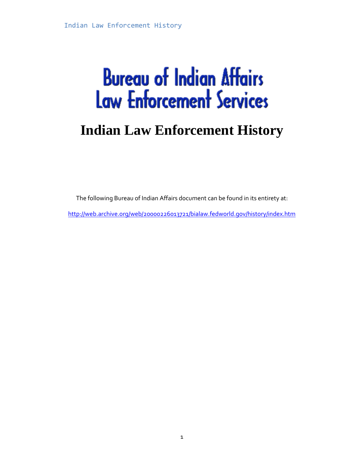# **Bureau of Indian Affairs Law Enforcement Services**

### **Indian Law Enforcement History**

The following Bureau of Indian Affairs document can be found in its entirety at:

<http://web.archive.org/web/20000226013721/bialaw.fedworld.gov/history/index.htm>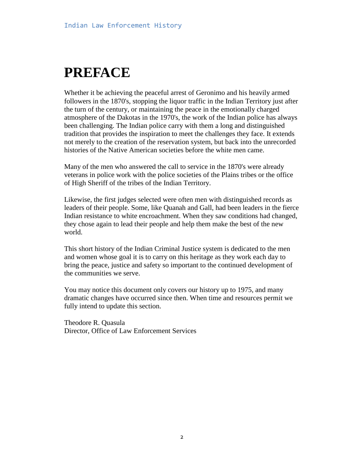## **PREFACE**

Whether it be achieving the peaceful arrest of Geronimo and his heavily armed followers in the 1870's, stopping the liquor traffic in the Indian Territory just after the turn of the century, or maintaining the peace in the emotionally charged atmosphere of the Dakotas in the 1970's, the work of the Indian police has always been challenging. The Indian police carry with them a long and distinguished tradition that provides the inspiration to meet the challenges they face. It extends not merely to the creation of the reservation system, but back into the unrecorded histories of the Native American societies before the white men came.

Many of the men who answered the call to service in the 1870's were already veterans in police work with the police societies of the Plains tribes or the office of High Sheriff of the tribes of the Indian Territory.

Likewise, the first judges selected were often men with distinguished records as leaders of their people. Some, like Quanah and Gall, had been leaders in the fierce Indian resistance to white encroachment. When they saw conditions had changed, they chose again to lead their people and help them make the best of the new world.

This short history of the Indian Criminal Justice system is dedicated to the men and women whose goal it is to carry on this heritage as they work each day to bring the peace, justice and safety so important to the continued development of the communities we serve.

You may notice this document only covers our history up to 1975, and many dramatic changes have occurred since then. When time and resources permit we fully intend to update this section.

Theodore R. Quasula Director, Office of Law Enforcement Services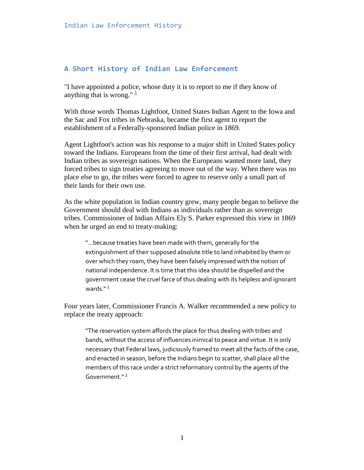#### **A Short History of Indian Law Enforcement**

"I have appointed a police, whose duty it is to report to me if they know of anything that is wrong."  $\frac{1}{2}$  $\frac{1}{2}$  $\frac{1}{2}$ 

With those words Thomas Lightfoot, United States Indian Agent to the Iowa and the Sac and Fox tribes in Nebraska, became the first agent to report the establishment of a Federally-sponsored Indian police in 1869.

Agent Lightfoot's action was his response to a major shift in United States policy toward the Indians. Europeans from the time of their first arrival, had dealt with Indian tribes as sovereign nations. When the Europeans wanted more land, they forced tribes to sign treaties agreeing to move out of the way. When there was no place else to go, the tribes were forced to agree to reserve only a small part of their lands for their own use.

As the white population in Indian country grew, many people began to believe the Government should deal with Indians as individuals rather than as sovereign tribes. Commissioner of Indian Affairs Ely S. Parker expressed this view in 1869 when he urged an end to treaty-making:

"...because treaties have been made with them, generally for the extinguishment of their supposed absolute title to land inhabited by them or over which they roam, they have been falsely impressed with the notion of national independence. It is time that this idea should be dispelled and the government cease the cruel farce of thus dealing with its helpless and ignorant wards $^{\prime\prime}$ <sup>2</sup>

Four years later, Commissioner Francis A. Walker recommended a new policy to replace the treaty approach:

"The reservation system affords the place for thus dealing with tribes and bands, without the access of influences inimical to peace and virtue. It is only necessary that Federal laws, judiciously framed to meet all the facts of the case, and enacted in season, before the Indians begin to scatter, shall place all the members of this race under a strict reformatory control by the agents of the Government.[" 3](http://web.archive.org/web/20000824055722/http:/bialaw.fedworld.gov/history/hisftn.htm#3)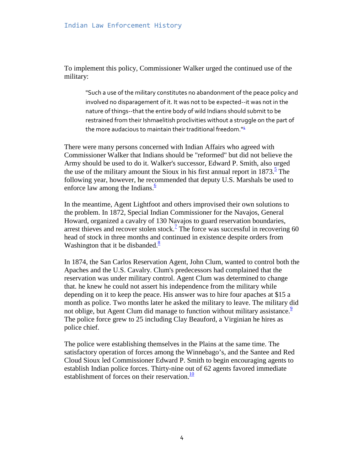To implement this policy, Commissioner Walker urged the continued use of the military:

"Such a use of the military constitutes no abandonment of the peace policy and involved no disparagement of it. It was not to be expected--it was not in the nature of things--that the entire body of wild Indians should submit to be restrained from their Ishmaelitish proclivities without a struggle on the part of the more audacious to maintain their traditional freedom.<sup>14</sup>

There were many persons concerned with Indian Affairs who agreed with Commissioner Walker that Indians should be "reformed" but did not believe the Army should be used to do it. Walker's successor, Edward P. Smith, also urged the use of the military amount the Sioux in his first annual report in  $1873<sup>5</sup>$  The following year, however, he recommended that deputy U.S. Marshals be used to enforce law among the Indians. $\frac{6}{5}$ 

In the meantime, Agent Lightfoot and others improvised their own solutions to the problem. In 1872, Special Indian Commissioner for the Navajos, General Howard, organized a cavalry of 130 Navajos to guard reservation boundaries, arrest thieves and recover stolen stock.<sup>7</sup> The force was successful in recovering 60 head of stock in three months and continued in existence despite orders from Washington that it be disbanded. $\frac{8}{3}$ 

In 1874, the San Carlos Reservation Agent, John Clum, wanted to control both the Apaches and the U.S. Cavalry. Clum's predecessors had complained that the reservation was under military control. Agent Clum was determined to change that. he knew he could not assert his independence from the military while depending on it to keep the peace. His answer was to hire four apaches at \$15 a month as police. Two months later he asked the military to leave. The military did not oblige, but Agent Clum did manage to function without military assistance.<sup>9</sup> The police force grew to 25 including Clay Beauford, a Virginian he hires as police chief.

The police were establishing themselves in the Plains at the same time. The satisfactory operation of forces among the Winnebago's, and the Santee and Red Cloud Sioux led Commissioner Edward P. Smith to begin encouraging agents to establish Indian police forces. Thirty-nine out of 62 agents favored immediate establishment of forces on their reservation. $\frac{10}{10}$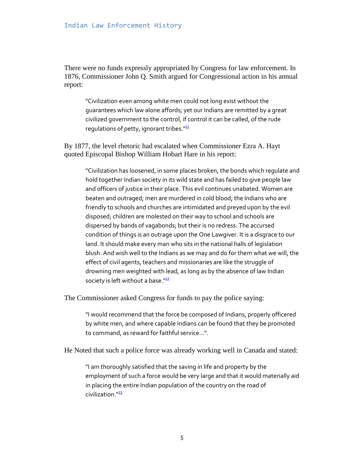There were no funds expressly appropriated by Congress for law enforcement. In 1876, Commissioner John Q. Smith argued for Congressional action in his annual report:

"Civilization even among white men could not long exist without the guarantees which law alone affords; yet our Indians are remitted by a great civilized government to the control, if control it can be called, of the rude regulations of petty, ignorant tribes. $111$ 

By 1877, the level rhetoric had escalated when Commissioner Ezra A. Hayt quoted Episcopal Bishop William Hobart Hare in his report:

"Civilization has loosened, in some places broken, the bonds which regulate and hold together Indian society in its wild state and has failed to give people law and officers of justice in their place. This evil continues unabated. Women are beaten and outraged; men are murdered in cold blood; the Indians who are friendly to schools and churches are intimidated and preyed upon by the evil disposed; children are molested on their way to school and schools are dispersed by bands of vagabonds; but their is no redress. The accursed condition of things is an outrage upon the One Lawgiver. It is a disgrace to our land. It should make every man who sits in the national halls of legislation blush. And wish well to the Indians as we may and do for them what we will, the effect of civil agents, teachers and missionaries are like the struggle of drowning men weighted with lead, as long as by the absence of law Indian society is left without a base. $122$ 

The Commissioner asked Congress for funds to pay the police saying:

"I would recommend that the force be composed of Indians, properly officered by white men, and where capable Indians can be found that they be promoted to command, as reward for faithful service...".

He Noted that such a police force was already working well in Canada and stated:

"I am thoroughly satisfied that the saving in life and property by the employment of such a force would be very large and that it would materially aid in placing the entire Indian population of the country on the road of civilization."<sup>13</sup>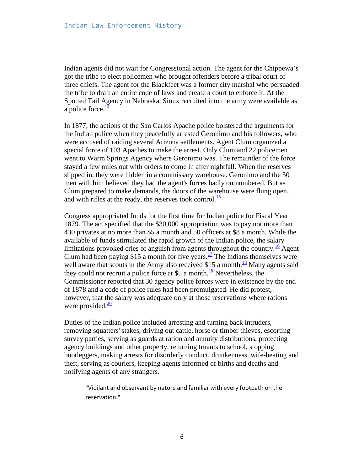Indian agents did not wait for Congressional action. The agent for the Chippewa's got the tribe to elect policemen who brought offenders before a tribal court of three chiefs. The agent for the Blackfeet was a former city marshal who persuaded the tribe to draft an entire code of laws and create a court to enforce it. At the Spotted Tail Agency in Nebraska, Sioux recruited into the army were available as a police force. $\frac{14}{1}$ 

In 1877, the actions of the San Carlos Apache police bolstered the arguments for the Indian police when they peacefully arrested Geronimo and his followers, who were accused of raiding several Arizona settlements. Agent Clum organized a special force of 103 Apaches to make the arrest. Only Clum and 22 policemen went to Warm Springs Agency where Geronimo was. The remainder of the force stayed a few miles out with orders to come in after nightfall. When the reserves slipped in, they were hidden in a commissary warehouse. Geronimo and the 50 men with him believed they had the agent's forces badly outnumbered. But as Clum prepared to make demands, the doors of the warehouse were flung open, and with rifles at the ready, the reserves took control. $\frac{15}{12}$ 

Congress appropriated funds for the first time for Indian police for Fiscal Year 1879. The act specified that the \$30,000 appropriation was to pay not more than 430 privates at no more than \$5 a month and 50 officers at \$8 a month. While the available of funds stimulated the rapid growth of the Indian police, the salary limitations provoked cries of anguish from agents throughout the country.<sup>16</sup> Agent Clum had been paying \$15 a month for five years.<sup>17</sup> The Indians themselves were well aware that scouts in the Army also received \$15 a month.<sup>18</sup> Many agents said they could not recruit a police force at \$5 a month.<sup>[19](http://web.archive.org/web/20000824055722/http:/bialaw.fedworld.gov/history/hisftn.htm#19)</sup> Nevertheless, the Commissioner reported that 30 agency police forces were in existence by the end of 1878 and a code of police rules had been promulgated. He did protest, however, that the salary was adequate only at those reservations where rations were provided. $\frac{20}{20}$ 

Duties of the Indian police included arresting and turning back intruders, removing squatters' stakes, driving out cattle, horse or timber thieves, escorting survey parties, serving as guards at ration and annuity distributions, protecting agency buildings and other property, returning truants to school, stopping bootleggers, making arrests for disorderly conduct, drunkenness, wife-beating and theft, serving as couriers, keeping agents informed of births and deaths and notifying agents of any strangers.

"Vigilant and observant by nature and familiar with every footpath on the reservation."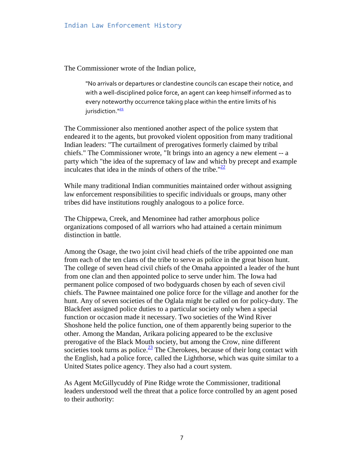The Commissioner wrote of the Indian police,

"No arrivals or departures or clandestine councils can escape their notice, and with a well-disciplined police force, an agent can keep himself informed as to every noteworthy occurrence taking place within the entire limits of his jurisdiction."<sup>21</sup>

The Commissioner also mentioned another aspect of the police system that endeared it to the agents, but provoked violent opposition from many traditional Indian leaders: "The curtailment of prerogatives formerly claimed by tribal chiefs." The Commissioner wrote, "It brings into an agency a new element -- a party which "the idea of the supremacy of law and which by precept and example inculcates that idea in the minds of others of the tribe." $\frac{22}{2}$ 

While many traditional Indian communities maintained order without assigning law enforcement responsibilities to specific individuals or groups, many other tribes did have institutions roughly analogous to a police force.

The Chippewa, Creek, and Menominee had rather amorphous police organizations composed of all warriors who had attained a certain minimum distinction in battle.

Among the Osage, the two joint civil head chiefs of the tribe appointed one man from each of the ten clans of the tribe to serve as police in the great bison hunt. The college of seven head civil chiefs of the Omaha appointed a leader of the hunt from one clan and then appointed police to serve under him. The Iowa had permanent police composed of two bodyguards chosen by each of seven civil chiefs. The Pawnee maintained one police force for the village and another for the hunt. Any of seven societies of the Oglala might be called on for policy-duty. The Blackfeet assigned police duties to a particular society only when a special function or occasion made it necessary. Two societies of the Wind River Shoshone held the police function, one of them apparently being superior to the other. Among the Mandan, Arikara policing appeared to be the exclusive prerogative of the Black Mouth society, but among the Crow, nine different societies took turns as police. $\frac{23}{2}$  The Cherokees, because of their long contact with the English, had a police force, called the Lighthorse, which was quite similar to a United States police agency. They also had a court system.

As Agent McGillycuddy of Pine Ridge wrote the Commissioner, traditional leaders understood well the threat that a police force controlled by an agent posed to their authority: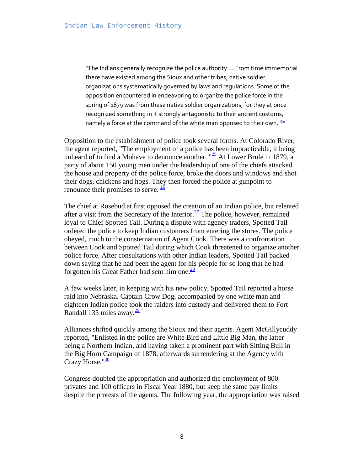"The Indians generally recognize the police authority ....From time immemorial there have existed among the Sioux and other tribes, native soldier organizations systematically governed by laws and regulations. Some of the opposition encountered in endeavoring to organize the police force in the spring of 1879 was from these native soldier organizations, for they at once recognized something in it strongly antagonistic to their ancient customs, namely a force at the command of the white man opposed to their own."<sup>24</sup>

Opposition to the establishment of police took several forms. At Colorado River, the agent reported, "The employment of a police has been impracticable, it being unheard of to find a Mohave to denounce another.  $\frac{125}{2}$  At Lower Brule in 1879, a party of about 150 young men under the leadership of one of the chiefs attacked the house and property of the police force, broke the doors and windows and shot their dogs, chickens and hogs. They then forced the police at gunpoint to renounce their promises to serve.  $\frac{26}{ }$ 

The chief at Rosebud at first opposed the creation of an Indian police, but relented after a visit from the Secretary of the Interior.<sup>27</sup> The police, however, remained loyal to Chief Spotted Tail. During a dispute with agency traders, Spotted Tail ordered the police to keep Indian customers from entering the stores. The police obeyed, much to the consternation of Agent Cook. There was a confrontation between Cook and Spotted Tail during which Cook threatened to organize another police force. After consultations with other Indian leaders, Spotted Tail backed down saying that he had been the agent for his people for so long that he had forgotten his Great Father had sent him one. $\frac{28}{3}$ 

A few weeks later, in keeping with his new policy, Spotted Tail reported a horse raid into Nebraska. Captain Crow Dog, accompanied by one white man and eighteen Indian police took the raiders into custody and delivered them to Fort Randall 135 miles away. $\frac{29}{2}$ 

Alliances shifted quickly among the Sioux and their agents. Agent McGillycuddy reported, "Enlisted in the police are White Bird and Little Big Man, the latter being a Northern Indian, and having taken a prominent part with Sitting Bull in the Big Horn Campaign of 1878, afterwards surrendering at the Agency with Crazy Horse." $\frac{30}{2}$ 

Congress doubled the appropriation and authorized the employment of 800 privates and 100 officers in Fiscal Year 1880, but keep the same pay limits despite the protests of the agents. The following year, the appropriation was raised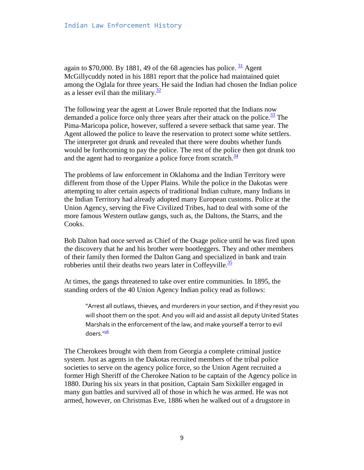again to \$70,000. By 1881, 49 of the 68 agencies has police.  $\frac{31}{1}$  Agent McGillycuddy noted in his 1881 report that the police had maintained quiet among the Oglala for three years. He said the Indian had chosen the Indian police as a lesser evil than the military. $\frac{32}{2}$ 

The following year the agent at Lower Brule reported that the Indians now demanded a police force only three years after their attack on the police. $\frac{33}{12}$  The Pima-Maricopa police, however, suffered a severe setback that same year. The Agent allowed the police to leave the reservation to protect some white settlers. The interpreter got drunk and revealed that there were doubts whether funds would be forthcoming to pay the police. The rest of the police then got drunk too and the agent had to reorganize a police force from scratch. $\frac{34}{3}$ 

The problems of law enforcement in Oklahoma and the Indian Territory were different from those of the Upper Plains. While the police in the Dakotas were attempting to alter certain aspects of traditional Indian culture, many Indians in the Indian Territory had already adopted many European customs. Police at the Union Agency, serving the Five Civilized Tribes, had to deal with some of the more famous Western outlaw gangs, such as, the Daltons, the Starrs, and the Cooks.

Bob Dalton had once served as Chief of the Osage police until he was fired upon the discovery that he and his brother were bootleggers. They and other members of their family then formed the Dalton Gang and specialized in bank and train robberies until their deaths two years later in Coffeyville. $\frac{35}{25}$ 

At times, the gangs threatened to take over entire communities. In 1895, the standing orders of the 40 Union Agency Indian policy read as follows:

"Arrest all outlaws, thieves, and murderers in your section, and if they resist you will shoot them on the spot. And you will aid and assist all deputy United States Marshals in the enforcement of the law, and make yourself a terror to evil doers."<sup>36</sup>

The Cherokees brought with them from Georgia a complete criminal justice system. Just as agents in the Dakotas recruited members of the tribal police societies to serve on the agency police force, so the Union Agent recruited a former High Sheriff of the Cherokee Nation to be captain of the Agency police in 1880. During his six years in that position, Captain Sam Sixkiller engaged in many gun battles and survived all of those in which he was armed. He was not armed, however, on Christmas Eve, 1886 when he walked out of a drugstore in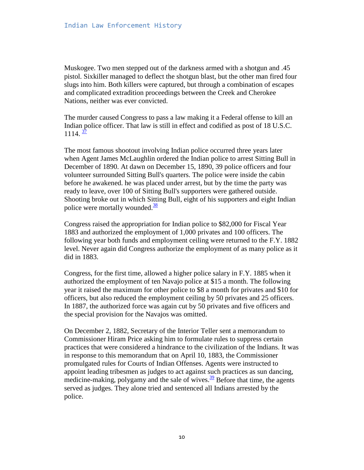Muskogee. Two men stepped out of the darkness armed with a shotgun and .45 pistol. Sixkiller managed to deflect the shotgun blast, but the other man fired four slugs into him. Both killers were captured, but through a combination of escapes and complicated extradition proceedings between the Creek and Cherokee Nations, neither was ever convicted.

The murder caused Congress to pass a law making it a Federal offense to kill an Indian police officer. That law is still in effect and codified as post of 18 U.S.C.  $1114. \frac{37}{2}$ 

The most famous shootout involving Indian police occurred three years later when Agent James McLaughlin ordered the Indian police to arrest Sitting Bull in December of 1890. At dawn on December 15, 1890, 39 police officers and four volunteer surrounded Sitting Bull's quarters. The police were inside the cabin before he awakened. he was placed under arrest, but by the time the party was ready to leave, over 100 of Sitting Bull's supporters were gathered outside. Shooting broke out in which Sitting Bull, eight of his supporters and eight Indian police were mortally wounded.<sup>38</sup>

Congress raised the appropriation for Indian police to \$82,000 for Fiscal Year 1883 and authorized the employment of 1,000 privates and 100 officers. The following year both funds and employment ceiling were returned to the F.Y. 1882 level. Never again did Congress authorize the employment of as many police as it did in 1883.

Congress, for the first time, allowed a higher police salary in F.Y. 1885 when it authorized the employment of ten Navajo police at \$15 a month. The following year it raised the maximum for other police to \$8 a month for privates and \$10 for officers, but also reduced the employment ceiling by 50 privates and 25 officers. In 1887, the authorized force was again cut by 50 privates and five officers and the special provision for the Navajos was omitted.

On December 2, 1882, Secretary of the Interior Teller sent a memorandum to Commissioner Hiram Price asking him to formulate rules to suppress certain practices that were considered a hindrance to the civilization of the Indians. It was in response to this memorandum that on April 10, 1883, the Commissioner promulgated rules for Courts of Indian Offenses. Agents were instructed to appoint leading tribesmen as judges to act against such practices as sun dancing, medicine-making, polygamy and the sale of wives.  $\frac{39}{2}$  Before that time, the agents served as judges. They alone tried and sentenced all Indians arrested by the police.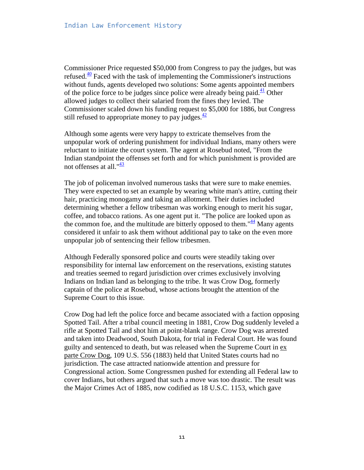Commissioner Price requested \$50,000 from Congress to pay the judges, but was refused.<sup>[40](http://web.archive.org/web/20000824055722/http:/bialaw.fedworld.gov/history/hisftn.htm#40)</sup> Faced with the task of implementing the Commissioner's instructions without funds, agents developed two solutions: Some agents appointed members of the police force to be judges since police were already being paid. $\frac{41}{1}$  $\frac{41}{1}$  $\frac{41}{1}$  Other allowed judges to collect their salaried from the fines they levied. The Commissioner scaled down his funding request to \$5,000 for 1886, but Congress still refused to appropriate money to pay judges. $\frac{42}{5}$ 

Although some agents were very happy to extricate themselves from the unpopular work of ordering punishment for individual Indians, many others were reluctant to initiate the court system. The agent at Rosebud noted, "From the Indian standpoint the offenses set forth and for which punishment is provided are not offenses at all. $\frac{43}{4}$ 

The job of policeman involved numerous tasks that were sure to make enemies. They were expected to set an example by wearing white man's attire, cutting their hair, practicing monogamy and taking an allotment. Their duties included determining whether a fellow tribesman was working enough to merit his sugar, coffee, and tobacco rations. As one agent put it. "The police are looked upon as the common foe, and the multitude are bitterly opposed to them.<sup>" $44$ </sup> Many agents considered it unfair to ask them without additional pay to take on the even more unpopular job of sentencing their fellow tribesmen.

Although Federally sponsored police and courts were steadily taking over responsibility for internal law enforcement on the reservations, existing statutes and treaties seemed to regard jurisdiction over crimes exclusively involving Indians on Indian land as belonging to the tribe. It was Crow Dog, formerly captain of the police at Rosebud, whose actions brought the attention of the Supreme Court to this issue.

Crow Dog had left the police force and became associated with a faction opposing Spotted Tail. After a tribal council meeting in 1881, Crow Dog suddenly leveled a rifle at Spotted Tail and shot him at point-blank range. Crow Dog was arrested and taken into Deadwood, South Dakota, for trial in Federal Court. He was found guilty and sentenced to death, but was released when the Supreme Court in ex parte Crow Dog, 109 U.S. 556 (1883) held that United States courts had no jurisdiction. The case attracted nationwide attention and pressure for Congressional action. Some Congressmen pushed for extending all Federal law to cover Indians, but others argued that such a move was too drastic. The result was the Major Crimes Act of 1885, now codified as 18 U.S.C. 1153, which gave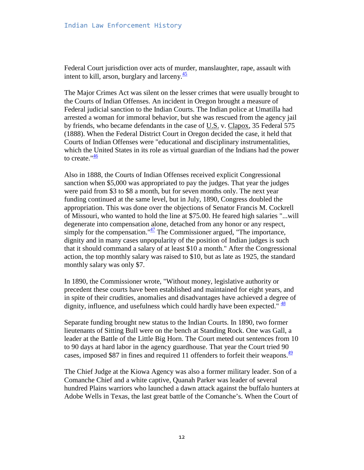Federal Court jurisdiction over acts of murder, manslaughter, rape, assault with intent to kill, arson, burglary and larceny. $\frac{45}{5}$ 

The Major Crimes Act was silent on the lesser crimes that were usually brought to the Courts of Indian Offenses. An incident in Oregon brought a measure of Federal judicial sanction to the Indian Courts. The Indian police at Umatilla had arrested a woman for immoral behavior, but she was rescued from the agency jail by friends, who became defendants in the case of U.S. v. Clapox, 35 Federal 575 (1888). When the Federal District Court in Oregon decided the case, it held that Courts of Indian Offenses were "educational and disciplinary instrumentalities, which the United States in its role as virtual guardian of the Indians had the power to create." $\frac{46}{1}$ 

Also in 1888, the Courts of Indian Offenses received explicit Congressional sanction when \$5,000 was appropriated to pay the judges. That year the judges were paid from \$3 to \$8 a month, but for seven months only. The next year funding continued at the same level, but in July, 1890, Congress doubled the appropriation. This was done over the objections of Senator Francis M. Cockrell of Missouri, who wanted to hold the line at \$75.00. He feared high salaries "...will degenerate into compensation alone, detached from any honor or any respect, simply for the compensation." $\frac{47}{1}$  The Commissioner argued, "The importance, dignity and in many cases unpopularity of the position of Indian judges is such that it should command a salary of at least \$10 a month." After the Congressional action, the top monthly salary was raised to \$10, but as late as 1925, the standard monthly salary was only \$7.

In 1890, the Commissioner wrote, "Without money, legislative authority or precedent these courts have been established and maintained for eight years, and in spite of their crudities, anomalies and disadvantages have achieved a degree of dignity, influence, and usefulness which could hardly have been expected."  $\frac{48}{10}$ 

Separate funding brought new status to the Indian Courts. In 1890, two former lieutenants of Sitting Bull were on the bench at Standing Rock. One was Gall, a leader at the Battle of the Little Big Horn. The Court meted out sentences from 10 to 90 days at hard labor in the agency guardhouse. That year the Court tried 90 cases, imposed \$87 in fines and required 11 offenders to forfeit their weapons. $\frac{49}{49}$ 

The Chief Judge at the Kiowa Agency was also a former military leader. Son of a Comanche Chief and a white captive, Quanah Parker was leader of several hundred Plains warriors who launched a dawn attack against the buffalo hunters at Adobe Wells in Texas, the last great battle of the Comanche's. When the Court of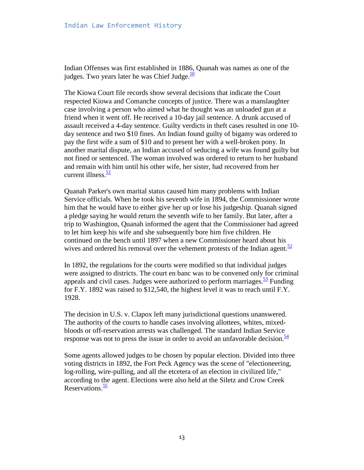Indian Offenses was first established in 1886, Quanah was names as one of the judges. Two years later he was Chief Judge. $\frac{50}{2}$ 

The Kiowa Court file records show several decisions that indicate the Court respected Kiowa and Comanche concepts of justice. There was a manslaughter case involving a person who aimed what he thought was an unloaded gun at a friend when it went off. He received a 10-day jail sentence. A drunk accused of assault received a 4-day sentence. Guilty verdicts in theft cases resulted in one 10 day sentence and two \$10 fines. An Indian found guilty of bigamy was ordered to pay the first wife a sum of \$10 and to present her with a well-broken pony. In another marital dispute, an Indian accused of seducing a wife was found guilty but not fined or sentenced. The woman involved was ordered to return to her husband and remain with him until his other wife, her sister, had recovered from her current illness.<sup>51</sup>

Quanah Parker's own marital status caused him many problems with Indian Service officials. When he took his seventh wife in 1894, the Commissioner wrote him that he would have to either give her up or lose his judgeship. Quanah signed a pledge saying he would return the seventh wife to her family. But later, after a trip to Washington, Quanah informed the agent that the Commissioner had agreed to let him keep his wife and she subsequently bore him five children. He continued on the bench until 1897 when a new Commissioner heard about his wives and ordered his removal over the vehement protests of the Indian agent. $52$ 

In 1892, the regulations for the courts were modified so that individual judges were assigned to districts. The court en banc was to be convened only for criminal appeals and civil cases. Judges were authorized to perform marriages.  $\frac{53}{2}$  Funding for F.Y. 1892 was raised to \$12,540, the highest level it was to reach until F.Y. 1928.

The decision in U.S. v. Clapox left many jurisdictional questions unanswered. The authority of the courts to handle cases involving allottees, whites, mixedbloods or off-reservation arrests was challenged. The standard Indian Service response was not to press the issue in order to avoid an unfavorable decision. $\frac{54}{54}$ 

Some agents allowed judges to be chosen by popular election. Divided into three voting districts in 1892, the Fort Peck Agency was the scene of "electioneering, log-rolling, wire-pulling, and all the etcetera of an election in civilized life," according to the agent. Elections were also held at the Siletz and Crow Creek Reservations.<sup>55</sup>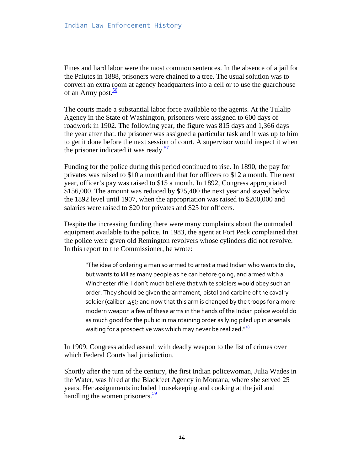Fines and hard labor were the most common sentences. In the absence of a jail for the Paiutes in 1888, prisoners were chained to a tree. The usual solution was to convert an extra room at agency headquarters into a cell or to use the guardhouse of an Army post. $\frac{56}{56}$ 

The courts made a substantial labor force available to the agents. At the Tulalip Agency in the State of Washington, prisoners were assigned to 600 days of roadwork in 1902. The following year, the figure was 815 days and 1,366 days the year after that. the prisoner was assigned a particular task and it was up to him to get it done before the next session of court. A supervisor would inspect it when the prisoner indicated it was ready. $\frac{57}{2}$ 

Funding for the police during this period continued to rise. In 1890, the pay for privates was raised to \$10 a month and that for officers to \$12 a month. The next year, officer's pay was raised to \$15 a month. In 1892, Congress appropriated \$156,000. The amount was reduced by \$25,400 the next year and stayed below the 1892 level until 1907, when the appropriation was raised to \$200,000 and salaries were raised to \$20 for privates and \$25 for officers.

Despite the increasing funding there were many complaints about the outmoded equipment available to the police. In 1983, the agent at Fort Peck complained that the police were given old Remington revolvers whose cylinders did not revolve. In this report to the Commissioner, he wrote:

"The idea of ordering a man so armed to arrest a mad Indian who wants to die, but wants to kill as many people as he can before going, and armed with a Winchester rifle. I don't much believe that white soldiers would obey such an order. They should be given the armament, pistol and carbine of the cavalry soldier (caliber .45); and now that this arm is changed by the troops for a more modern weapon a few of these arms in the hands of the Indian police would do as much good for the public in maintaining order as lying piled up in arsenals waiting for a prospective was which may never be realized."<sup>58</sup>

In 1909, Congress added assault with deadly weapon to the list of crimes over which Federal Courts had jurisdiction.

Shortly after the turn of the century, the first Indian policewoman, Julia Wades in the Water, was hired at the Blackfeet Agency in Montana, where she served 25 years. Her assignments included housekeeping and cooking at the jail and handling the women prisoners. $\frac{59}{9}$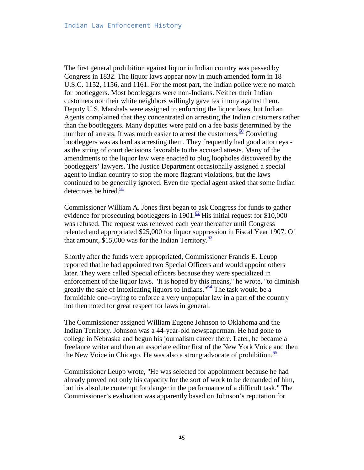The first general prohibition against liquor in Indian country was passed by Congress in 1832. The liquor laws appear now in much amended form in 18 U.S.C. 1152, 1156, and 1161. For the most part, the Indian police were no match for bootleggers. Most bootleggers were non-Indians. Neither their Indian customers nor their white neighbors willingly gave testimony against them. Deputy U.S. Marshals were assigned to enforcing the liquor laws, but Indian Agents complained that they concentrated on arresting the Indian customers rather than the bootleggers. Many deputies were paid on a fee basis determined by the number of arrests. It was much easier to arrest the customers.<sup>60</sup> Convicting bootleggers was as hard as arresting them. They frequently had good attorneys as the string of court decisions favorable to the accused attests. Many of the amendments to the liquor law were enacted to plug loopholes discovered by the bootleggers' lawyers. The Justice Department occasionally assigned a special agent to Indian country to stop the more flagrant violations, but the laws continued to be generally ignored. Even the special agent asked that some Indian detectives be hired. $\frac{61}{2}$ 

Commissioner William A. Jones first began to ask Congress for funds to gather evidence for prosecuting bootleggers in 1901.<sup>62</sup> His initial request for \$10,000 was refused. The request was renewed each year thereafter until Congress relented and appropriated \$25,000 for liquor suppression in Fiscal Year 1907. Of that amount,  $$15,000$  was for the Indian Territory.<sup>63</sup>

Shortly after the funds were appropriated, Commissioner Francis E. Leupp reported that he had appointed two Special Officers and would appoint others later. They were called Special officers because they were specialized in enforcement of the liquor laws. "It is hoped by this means," he wrote, "to diminish greatly the sale of intoxicating liquors to Indians.  $\frac{64}{4}$  The task would be a formidable one--trying to enforce a very unpopular law in a part of the country not then noted for great respect for laws in general.

The Commissioner assigned William Eugene Johnson to Oklahoma and the Indian Territory. Johnson was a 44-year-old newspaperman. He had gone to college in Nebraska and begun his journalism career there. Later, he became a freelance writer and then an associate editor first of the New York Voice and then the New Voice in Chicago. He was also a strong advocate of prohibition. $\frac{65}{65}$ 

Commissioner Leupp wrote, "He was selected for appointment because he had already proved not only his capacity for the sort of work to be demanded of him, but his absolute contempt for danger in the performance of a difficult task." The Commissioner's evaluation was apparently based on Johnson's reputation for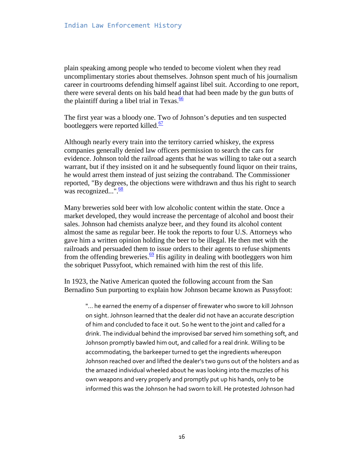plain speaking among people who tended to become violent when they read uncomplimentary stories about themselves. Johnson spent much of his journalism career in courtrooms defending himself against libel suit. According to one report, there were several dents on his bald head that had been made by the gun butts of the plaintiff during a libel trial in Texas. $\frac{66}{6}$ 

The first year was a bloody one. Two of Johnson's deputies and ten suspected bootleggers were reported killed.<sup>67</sup>

Although nearly every train into the territory carried whiskey, the express companies generally denied law officers permission to search the cars for evidence. Johnson told the railroad agents that he was willing to take out a search warrant, but if they insisted on it and he subsequently found liquor on their trains, he would arrest them instead of just seizing the contraband. The Commissioner reported, "By degrees, the objections were withdrawn and thus his right to search was recognized...". $\frac{68}{68}$ 

Many breweries sold beer with low alcoholic content within the state. Once a market developed, they would increase the percentage of alcohol and boost their sales. Johnson had chemists analyze beer, and they found its alcohol content almost the same as regular beer. He took the reports to four U.S. Attorneys who gave him a written opinion holding the beer to be illegal. He then met with the railroads and persuaded them to issue orders to their agents to refuse shipments from the offending breweries.<sup>69</sup> His agility in dealing with bootleggers won him the sobriquet Pussyfoot, which remained with him the rest of this life.

In 1923, the Native American quoted the following account from the San Bernadino Sun purporting to explain how Johnson became known as Pussyfoot:

"... he earned the enemy of a dispenser of firewater who swore to kill Johnson on sight. Johnson learned that the dealer did not have an accurate description of him and concluded to face it out. So he went to the joint and called for a drink. The individual behind the improvised bar served him something soft, and Johnson promptly bawled him out, and called for a real drink. Willing to be accommodating, the barkeeper turned to get the ingredients whereupon Johnson reached over and lifted the dealer's two guns out of the holsters and as the amazed individual wheeled about he was looking into the muzzles of his own weapons and very properly and promptly put up his hands, only to be informed this was the Johnson he had sworn to kill. He protested Johnson had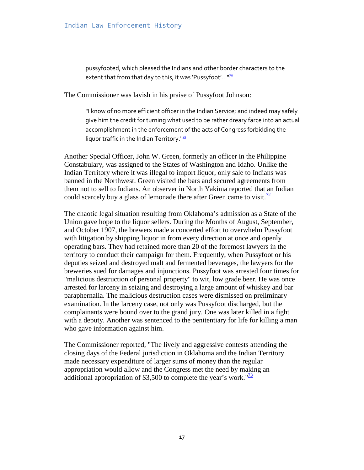pussyfooted, which pleased the Indians and other border characters to the extent that from that day to this, it was 'Pussyfoot'..."<sup>20</sup>

The Commissioner was lavish in his praise of Pussyfoot Johnson:

"I know of no more efficient officer in the Indian Service; and indeed may safely give him the credit for turning what used to be rather dreary farce into an actual accomplishment in the enforcement of the acts of Congress forbidding the liquor traffic in the Indian Territory. $171$ 

Another Special Officer, John W. Green, formerly an officer in the Philippine Constabulary, was assigned to the States of Washington and Idaho. Unlike the Indian Territory where it was illegal to import liquor, only sale to Indians was banned in the Northwest. Green visited the bars and secured agreements from them not to sell to Indians. An observer in North Yakima reported that an Indian could scarcely buy a glass of lemonade there after Green came to visit.<sup> $\frac{72}{6}$ </sup>

The chaotic legal situation resulting from Oklahoma's admission as a State of the Union gave hope to the liquor sellers. During the Months of August, September, and October 1907, the brewers made a concerted effort to overwhelm Pussyfoot with litigation by shipping liquor in from every direction at once and openly operating bars. They had retained more than 20 of the foremost lawyers in the territory to conduct their campaign for them. Frequently, when Pussyfoot or his deputies seized and destroyed malt and fermented beverages, the lawyers for the breweries sued for damages and injunctions. Pussyfoot was arrested four times for "malicious destruction of personal property" to wit, low grade beer. He was once arrested for larceny in seizing and destroying a large amount of whiskey and bar paraphernalia. The malicious destruction cases were dismissed on preliminary examination. In the larceny case, not only was Pussyfoot discharged, but the complainants were bound over to the grand jury. One was later killed in a fight with a deputy. Another was sentenced to the penitentiary for life for killing a man who gave information against him.

The Commissioner reported, "The lively and aggressive contests attending the closing days of the Federal jurisdiction in Oklahoma and the Indian Territory made necessary expenditure of larger sums of money than the regular appropriation would allow and the Congress met the need by making an additional appropriation of \$3,500 to complete the year's work." $\frac{73}{2}$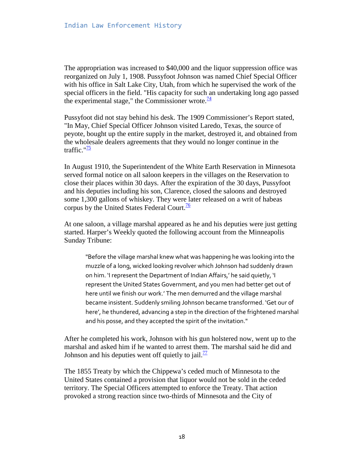The appropriation was increased to \$40,000 and the liquor suppression office was reorganized on July 1, 1908. Pussyfoot Johnson was named Chief Special Officer with his office in Salt Lake City, Utah, from which he supervised the work of the special officers in the field. "His capacity for such an undertaking long ago passed the experimental stage," the Commissioner wrote. $\frac{14}{3}$ 

Pussyfoot did not stay behind his desk. The 1909 Commissioner's Report stated, "In May, Chief Special Officer Johnson visited Laredo, Texas, the source of peyote, bought up the entire supply in the market, destroyed it, and obtained from the wholesale dealers agreements that they would no longer continue in the traffic." $\frac{75}{2}$ 

In August 1910, the Superintendent of the White Earth Reservation in Minnesota served formal notice on all saloon keepers in the villages on the Reservation to close their places within 30 days. After the expiration of the 30 days, Pussyfoot and his deputies including his son, Clarence, closed the saloons and destroyed some 1,300 gallons of whiskey. They were later released on a writ of habeas corpus by the United States Federal Court. $\frac{76}{6}$ 

At one saloon, a village marshal appeared as he and his deputies were just getting started. Harper's Weekly quoted the following account from the Minneapolis Sunday Tribune:

"Before the village marshal knew what was happening he was looking into the muzzle of a long, wicked looking revolver which Johnson had suddenly drawn on him. 'I represent the Department of Indian Affairs,' he said quietly, 'I represent the United States Government, and you men had better get out of here until we finish our work.' The men demurred and the village marshal became insistent. Suddenly smiling Johnson became transformed. 'Get our of here', he thundered, advancing a step in the direction of the frightened marshal and his posse, and they accepted the spirit of the invitation."

After he completed his work, Johnson with his gun holstered now, went up to the marshal and asked him if he wanted to arrest them. The marshal said he did and Johnson and his deputies went off quietly to jail.<sup>77</sup>

The 1855 Treaty by which the Chippewa's ceded much of Minnesota to the United States contained a provision that liquor would not be sold in the ceded territory. The Special Officers attempted to enforce the Treaty. That action provoked a strong reaction since two-thirds of Minnesota and the City of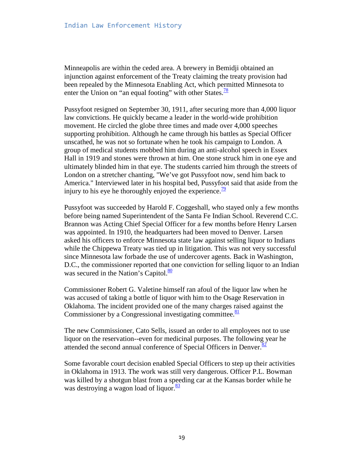Minneapolis are within the ceded area. A brewery in Bemidji obtained an injunction against enforcement of the Treaty claiming the treaty provision had been repealed by the Minnesota Enabling Act, which permitted Minnesota to enter the Union on "an equal footing" with other States. $\frac{78}{8}$ 

Pussyfoot resigned on September 30, 1911, after securing more than 4,000 liquor law convictions. He quickly became a leader in the world-wide prohibition movement. He circled the globe three times and made over 4,000 speeches supporting prohibition. Although he came through his battles as Special Officer unscathed, he was not so fortunate when he took his campaign to London. A group of medical students mobbed him during an anti-alcohol speech in Essex Hall in 1919 and stones were thrown at him. One stone struck him in one eye and ultimately blinded him in that eye. The students carried him through the streets of London on a stretcher chanting, "We've got Pussyfoot now, send him back to America." Interviewed later in his hospital bed, Pussyfoot said that aside from the injury to his eye he thoroughly enjoyed the experience.  $\frac{79}{2}$ 

Pussyfoot was succeeded by Harold F. Coggeshall, who stayed only a few months before being named Superintendent of the Santa Fe Indian School. Reverend C.C. Brannon was Acting Chief Special Officer for a few months before Henry Larsen was appointed. In 1910, the headquarters had been moved to Denver. Larsen asked his officers to enforce Minnesota state law against selling liquor to Indians while the Chippewa Treaty was tied up in litigation. This was not very successful since Minnesota law forbade the use of undercover agents. Back in Washington, D.C., the commissioner reported that one conviction for selling liquor to an Indian was secured in the Nation's Capitol. $\frac{80}{10}$ 

Commissioner Robert G. Valetine himself ran afoul of the liquor law when he was accused of taking a bottle of liquor with him to the Osage Reservation in Oklahoma. The incident provided one of the many charges raised against the Commissioner by a Congressional investigating committee. $\frac{81}{2}$ 

The new Commissioner, Cato Sells, issued an order to all employees not to use liquor on the reservation--even for medicinal purposes. The following year he attended the second annual conference of Special Officers in Denver. $\frac{82}{5}$ 

Some favorable court decision enabled Special Officers to step up their activities in Oklahoma in 1913. The work was still very dangerous. Officer P.L. Bowman was killed by a shotgun blast from a speeding car at the Kansas border while he was destroying a wagon load of liquor. $\frac{83}{2}$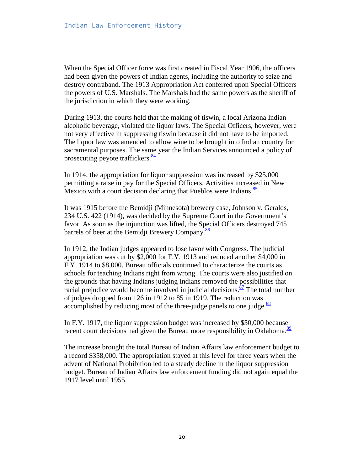When the Special Officer force was first created in Fiscal Year 1906, the officers had been given the powers of Indian agents, including the authority to seize and destroy contraband. The 1913 Appropriation Act conferred upon Special Officers the powers of U.S. Marshals. The Marshals had the same powers as the sheriff of the jurisdiction in which they were working.

During 1913, the courts held that the making of tiswin, a local Arizona Indian alcoholic beverage, violated the liquor laws. The Special Officers, however, were not very effective in suppressing tiswin because it did not have to be imported. The liquor law was amended to allow wine to be brought into Indian country for sacramental purposes. The same year the Indian Services announced a policy of prosecuting peyote traffickers. $\frac{84}{9}$ 

In 1914, the appropriation for liquor suppression was increased by \$25,000 permitting a raise in pay for the Special Officers. Activities increased in New Mexico with a court decision declaring that Pueblos were Indians.<sup>85</sup>

It was 1915 before the Bemidji (Minnesota) brewery case, Johnson v. Geralds, 234 U.S. 422 (1914), was decided by the Supreme Court in the Government's favor. As soon as the injunction was lifted, the Special Officers destroyed 745 barrels of beer at the Bemidii Brewery Company.<sup>86</sup>

In 1912, the Indian judges appeared to lose favor with Congress. The judicial appropriation was cut by \$2,000 for F.Y. 1913 and reduced another \$4,000 in F.Y. 1914 to \$8,000. Bureau officials continued to characterize the courts as schools for teaching Indians right from wrong. The courts were also justified on the grounds that having Indians judging Indians removed the possibilities that racial prejudice would become involved in judicial decisions.<sup>87</sup> The total number of judges dropped from 126 in 1912 to 85 in 1919. The reduction was accomplished by reducing most of the three-judge panels to one judge.<sup>88</sup>

In F.Y. 1917, the liquor suppression budget was increased by \$50,000 because recent court decisions had given the Bureau more responsibility in Oklahoma.<sup>89</sup>

The increase brought the total Bureau of Indian Affairs law enforcement budget to a record \$358,000. The appropriation stayed at this level for three years when the advent of National Prohibition led to a steady decline in the liquor suppression budget. Bureau of Indian Affairs law enforcement funding did not again equal the 1917 level until 1955.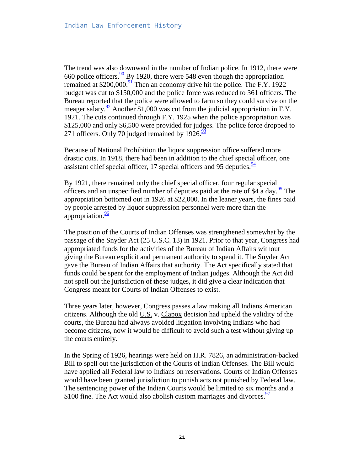The trend was also downward in the number of Indian police. In 1912, there were 660 police officers.  $\frac{90}{9}$  By 1920, there were 548 even though the appropriation remained at \$200,000. $\frac{91}{2}$  Then an economy drive hit the police. The F.Y. 1922 budget was cut to \$150,000 and the police force was reduced to 361 officers. The Bureau reported that the police were allowed to farm so they could survive on the meager salary.  $\frac{92}{2}$  Another \$1,000 was cut from the judicial appropriation in F.Y. 1921. The cuts continued through F.Y. 1925 when the police appropriation was \$125,000 and only \$6,500 were provided for judges. The police force dropped to 271 officers. Only 70 judged remained by  $1926.\overline{^{93}}$ 

Because of National Prohibition the liquor suppression office suffered more drastic cuts. In 1918, there had been in addition to the chief special officer, one assistant chief special officer, 17 special officers and 95 deputies. $\frac{94}{94}$ 

By 1921, there remained only the chief special officer, four regular special officers and an unspecified number of deputies paid at the rate of \$4 a day. $\frac{95}{2}$  $\frac{95}{2}$  $\frac{95}{2}$  The appropriation bottomed out in 1926 at \$22,000. In the leaner years, the fines paid by people arrested by liquor suppression personnel were more than the appropriation. $\frac{96}{6}$ 

The position of the Courts of Indian Offenses was strengthened somewhat by the passage of the Snyder Act (25 U.S.C. 13) in 1921. Prior to that year, Congress had appropriated funds for the activities of the Bureau of Indian Affairs without giving the Bureau explicit and permanent authority to spend it. The Snyder Act gave the Bureau of Indian Affairs that authority. The Act specifically stated that funds could be spent for the employment of Indian judges. Although the Act did not spell out the jurisdiction of these judges, it did give a clear indication that Congress meant for Courts of Indian Offenses to exist.

Three years later, however, Congress passes a law making all Indians American citizens. Although the old U.S. v. Clapox decision had upheld the validity of the courts, the Bureau had always avoided litigation involving Indians who had become citizens, now it would be difficult to avoid such a test without giving up the courts entirely.

In the Spring of 1926, hearings were held on H.R. 7826, an administration-backed Bill to spell out the jurisdiction of the Courts of Indian Offenses. The Bill would have applied all Federal law to Indians on reservations. Courts of Indian Offenses would have been granted jurisdiction to punish acts not punished by Federal law. The sentencing power of the Indian Courts would be limited to six months and a \$100 fine. The Act would also abolish custom marriages and divorces.  $\frac{97}{97}$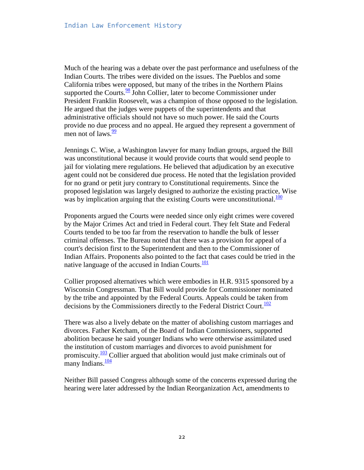Much of the hearing was a debate over the past performance and usefulness of the Indian Courts. The tribes were divided on the issues. The Pueblos and some California tribes were opposed, but many of the tribes in the Northern Plains supported the Courts. $\frac{98}{98}$  John Collier, later to become Commissioner under President Franklin Roosevelt, was a champion of those opposed to the legislation. He argued that the judges were puppets of the superintendents and that administrative officials should not have so much power. He said the Courts provide no due process and no appeal. He argued they represent a government of men not of laws. $\frac{99}{2}$ 

Jennings C. Wise, a Washington lawyer for many Indian groups, argued the Bill was unconstitutional because it would provide courts that would send people to jail for violating mere regulations. He believed that adjudication by an executive agent could not be considered due process. He noted that the legislation provided for no grand or petit jury contrary to Constitutional requirements. Since the proposed legislation was largely designed to authorize the existing practice, Wise was by implication arguing that the existing Courts were unconstitutional. $\frac{100}{100}$ 

Proponents argued the Courts were needed since only eight crimes were covered by the Major Crimes Act and tried in Federal court. They felt State and Federal Courts tended to be too far from the reservation to handle the bulk of lesser criminal offenses. The Bureau noted that there was a provision for appeal of a court's decision first to the Superintendent and then to the Commissioner of Indian Affairs. Proponents also pointed to the fact that cases could be tried in the native language of the accused in Indian Courts. $\frac{101}{101}$ 

Collier proposed alternatives which were embodies in H.R. 9315 sponsored by a Wisconsin Congressman. That Bill would provide for Commissioner nominated by the tribe and appointed by the Federal Courts. Appeals could be taken from decisions by the Commissioners directly to the Federal District Court.<sup>102</sup>

There was also a lively debate on the matter of abolishing custom marriages and divorces. Father Ketcham, of the Board of Indian Commissioners, supported abolition because he said younger Indians who were otherwise assimilated used the institution of custom marriages and divorces to avoid punishment for promiscuity.<sup>103</sup> Collier argued that abolition would just make criminals out of many Indians. $\frac{104}{104}$ 

Neither Bill passed Congress although some of the concerns expressed during the hearing were later addressed by the Indian Reorganization Act, amendments to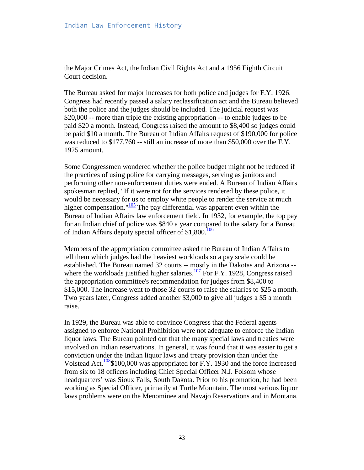the Major Crimes Act, the Indian Civil Rights Act and a 1956 Eighth Circuit Court decision.

The Bureau asked for major increases for both police and judges for F.Y. 1926. Congress had recently passed a salary reclassification act and the Bureau believed both the police and the judges should be included. The judicial request was \$20,000 -- more than triple the existing appropriation -- to enable judges to be paid \$20 a month. Instead, Congress raised the amount to \$8,400 so judges could be paid \$10 a month. The Bureau of Indian Affairs request of \$190,000 for police was reduced to \$177,760 -- still an increase of more than \$50,000 over the F.Y. 1925 amount.

Some Congressmen wondered whether the police budget might not be reduced if the practices of using police for carrying messages, serving as janitors and performing other non-enforcement duties were ended. A Bureau of Indian Affairs spokesman replied, "If it were not for the services rendered by these police, it would be necessary for us to employ white people to render the service at much higher compensation." $\frac{105}{100}$  The pay differential was apparent even within the Bureau of Indian Affairs law enforcement field. In 1932, for example, the top pay for an Indian chief of police was \$840 a year compared to the salary for a Bureau of Indian Affairs deputy special officer of  $$1,800$ .<sup>106</sup>

Members of the appropriation committee asked the Bureau of Indian Affairs to tell them which judges had the heaviest workloads so a pay scale could be established. The Bureau named 32 courts -- mostly in the Dakotas and Arizona - where the workloads justified higher salaries.<sup>107</sup> For F.Y. 1928, Congress raised the appropriation committee's recommendation for judges from \$8,400 to \$15,000. The increase went to those 32 courts to raise the salaries to \$25 a month. Two years later, Congress added another \$3,000 to give all judges a \$5 a month raise.

In 1929, the Bureau was able to convince Congress that the Federal agents assigned to enforce National Prohibition were not adequate to enforce the Indian liquor laws. The Bureau pointed out that the many special laws and treaties were involved on Indian reservations. In general, it was found that it was easier to get a conviction under the Indian liquor laws and treaty provision than under the Volstead Act.<sup>108</sup>\$100,000 was appropriated for F.Y. 1930 and the force increased from six to 18 officers including Chief Special Officer N.J. Folsom whose headquarters' was Sioux Falls, South Dakota. Prior to his promotion, he had been working as Special Officer, primarily at Turtle Mountain. The most serious liquor laws problems were on the Menominee and Navajo Reservations and in Montana.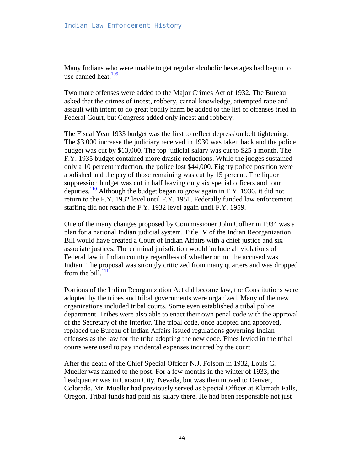Many Indians who were unable to get regular alcoholic beverages had begun to use canned heat. $\frac{109}{102}$ 

Two more offenses were added to the Major Crimes Act of 1932. The Bureau asked that the crimes of incest, robbery, carnal knowledge, attempted rape and assault with intent to do great bodily harm be added to the list of offenses tried in Federal Court, but Congress added only incest and robbery.

The Fiscal Year 1933 budget was the first to reflect depression belt tightening. The \$3,000 increase the judiciary received in 1930 was taken back and the police budget was cut by \$13,000. The top judicial salary was cut to \$25 a month. The F.Y. 1935 budget contained more drastic reductions. While the judges sustained only a 10 percent reduction, the police lost \$44,000. Eighty police position were abolished and the pay of those remaining was cut by 15 percent. The liquor suppression budget was cut in half leaving only six special officers and four deputies.<sup>110</sup> Although the budget began to grow again in F.Y. 1936, it did not return to the F.Y. 1932 level until F.Y. 1951. Federally funded law enforcement staffing did not reach the F.Y. 1932 level again until F.Y. 1959.

One of the many changes proposed by Commissioner John Collier in 1934 was a plan for a national Indian judicial system. Title IV of the Indian Reorganization Bill would have created a Court of Indian Affairs with a chief justice and six associate justices. The criminal jurisdiction would include all violations of Federal law in Indian country regardless of whether or not the accused was Indian. The proposal was strongly criticized from many quarters and was dropped from the bill. $\frac{111}{111}$ 

Portions of the Indian Reorganization Act did become law, the Constitutions were adopted by the tribes and tribal governments were organized. Many of the new organizations included tribal courts. Some even established a tribal police department. Tribes were also able to enact their own penal code with the approval of the Secretary of the Interior. The tribal code, once adopted and approved, replaced the Bureau of Indian Affairs issued regulations governing Indian offenses as the law for the tribe adopting the new code. Fines levied in the tribal courts were used to pay incidental expenses incurred by the court.

After the death of the Chief Special Officer N.J. Folsom in 1932, Louis C. Mueller was named to the post. For a few months in the winter of 1933, the headquarter was in Carson City, Nevada, but was then moved to Denver, Colorado. Mr. Mueller had previously served as Special Officer at Klamath Falls, Oregon. Tribal funds had paid his salary there. He had been responsible not just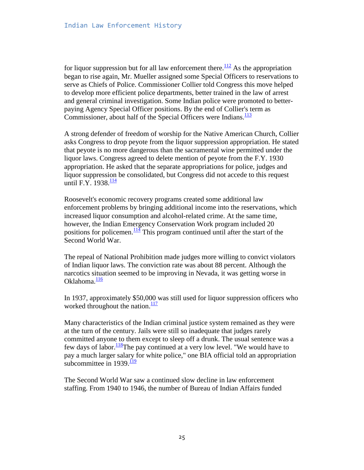for liquor suppression but for all law enforcement there.<sup>112</sup> As the appropriation began to rise again, Mr. Mueller assigned some Special Officers to reservations to serve as Chiefs of Police. Commissioner Collier told Congress this move helped to develop more efficient police departments, better trained in the law of arrest and general criminal investigation. Some Indian police were promoted to betterpaying Agency Special Officer positions. By the end of Collier's term as Commissioner, about half of the Special Officers were Indians. $\frac{113}{113}$ 

A strong defender of freedom of worship for the Native American Church, Collier asks Congress to drop peyote from the liquor suppression appropriation. He stated that peyote is no more dangerous than the sacramental wine permitted under the liquor laws. Congress agreed to delete mention of peyote from the F.Y. 1930 appropriation. He asked that the separate appropriations for police, judges and liquor suppression be consolidated, but Congress did not accede to this request until F.Y. 1938. $\frac{114}{1}$ 

Roosevelt's economic recovery programs created some additional law enforcement problems by bringing additional income into the reservations, which increased liquor consumption and alcohol-related crime. At the same time, however, the Indian Emergency Conservation Work program included 20 positions for policemen.<sup>114</sup> This program continued until after the start of the Second World War.

The repeal of National Prohibition made judges more willing to convict violators of Indian liquor laws. The conviction rate was about 88 percent. Although the narcotics situation seemed to be improving in Nevada, it was getting worse in Oklahoma.<sup>116</sup>

In 1937, approximately \$50,000 was still used for liquor suppression officers who worked throughout the nation. $\frac{117}{112}$ 

Many characteristics of the Indian criminal justice system remained as they were at the turn of the century. Jails were still so inadequate that judges rarely committed anyone to them except to sleep off a drunk. The usual sentence was a few days of labor.<sup>118</sup>The pay continued at a very low level. "We would have to pay a much larger salary for white police," one BIA official told an appropriation subcommittee in  $1939 \frac{119}{1}$ 

The Second World War saw a continued slow decline in law enforcement staffing. From 1940 to 1946, the number of Bureau of Indian Affairs funded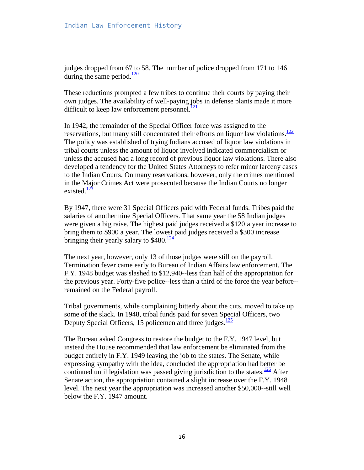judges dropped from 67 to 58. The number of police dropped from 171 to 146 during the same period. $\frac{120}{20}$ 

These reductions prompted a few tribes to continue their courts by paying their own judges. The availability of well-paying jobs in defense plants made it more difficult to keep law enforcement personnel. $\frac{121}{22}$ 

In 1942, the remainder of the Special Officer force was assigned to the reservations, but many still concentrated their efforts on liquor law violations. $\frac{122}{2}$ The policy was established of trying Indians accused of liquor law violations in tribal courts unless the amount of liquor involved indicated commercialism or unless the accused had a long record of previous liquor law violations. There also developed a tendency for the United States Attorneys to refer minor larceny cases to the Indian Courts. On many reservations, however, only the crimes mentioned in the Major Crimes Act were prosecuted because the Indian Courts no longer existed. $\frac{123}{2}$ 

By 1947, there were 31 Special Officers paid with Federal funds. Tribes paid the salaries of another nine Special Officers. That same year the 58 Indian judges were given a big raise. The highest paid judges received a \$120 a year increase to bring them to \$900 a year. The lowest paid judges received a \$300 increase bringing their yearly salary to  $$480.<sup>124</sup>$ 

The next year, however, only 13 of those judges were still on the payroll. Termination fever came early to Bureau of Indian Affairs law enforcement. The F.Y. 1948 budget was slashed to \$12,940--less than half of the appropriation for the previous year. Forty-five police--less than a third of the force the year before- remained on the Federal payroll.

Tribal governments, while complaining bitterly about the cuts, moved to take up some of the slack. In 1948, tribal funds paid for seven Special Officers, two Deputy Special Officers, 15 policemen and three judges. $\frac{125}{125}$ 

The Bureau asked Congress to restore the budget to the F.Y. 1947 level, but instead the House recommended that law enforcement be eliminated from the budget entirely in F.Y. 1949 leaving the job to the states. The Senate, while expressing sympathy with the idea, concluded the appropriation had better be continued until legislation was passed giving jurisdiction to the states. $\frac{126}{2}$  After Senate action, the appropriation contained a slight increase over the F.Y. 1948 level. The next year the appropriation was increased another \$50,000--still well below the F.Y. 1947 amount.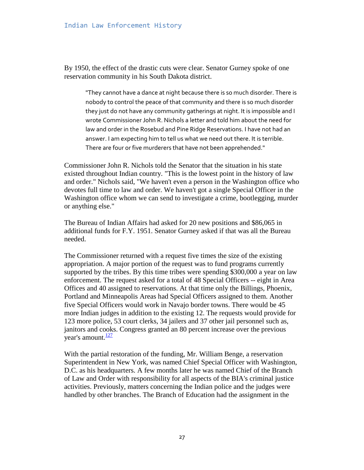By 1950, the effect of the drastic cuts were clear. Senator Gurney spoke of one reservation community in his South Dakota district.

"They cannot have a dance at night because there is so much disorder. There is nobody to control the peace of that community and there is so much disorder they just do not have any community gatherings at night. It is impossible and I wrote Commissioner John R. Nichols a letter and told him about the need for law and order in the Rosebud and Pine Ridge Reservations. I have not had an answer. I am expecting him to tell us what we need out there. It is terrible. There are four or five murderers that have not been apprehended."

Commissioner John R. Nichols told the Senator that the situation in his state existed throughout Indian country. "This is the lowest point in the history of law and order." Nichols said, "We haven't even a person in the Washington office who devotes full time to law and order. We haven't got a single Special Officer in the Washington office whom we can send to investigate a crime, bootlegging, murder or anything else."

The Bureau of Indian Affairs had asked for 20 new positions and \$86,065 in additional funds for F.Y. 1951. Senator Gurney asked if that was all the Bureau needed.

The Commissioner returned with a request five times the size of the existing appropriation. A major portion of the request was to fund programs currently supported by the tribes. By this time tribes were spending \$300,000 a year on law enforcement. The request asked for a total of 48 Special Officers -- eight in Area Offices and 40 assigned to reservations. At that time only the Billings, Phoenix, Portland and Minneapolis Areas had Special Officers assigned to them. Another five Special Officers would work in Navajo border towns. There would be 45 more Indian judges in addition to the existing 12. The requests would provide for 123 more police, 53 court clerks, 34 jailers and 37 other jail personnel such as, janitors and cooks. Congress granted an 80 percent increase over the previous year's amount. $\frac{127}{12}$ 

With the partial restoration of the funding, Mr. William Benge, a reservation Superintendent in New York, was named Chief Special Officer with Washington, D.C. as his headquarters. A few months later he was named Chief of the Branch of Law and Order with responsibility for all aspects of the BIA's criminal justice activities. Previously, matters concerning the Indian police and the judges were handled by other branches. The Branch of Education had the assignment in the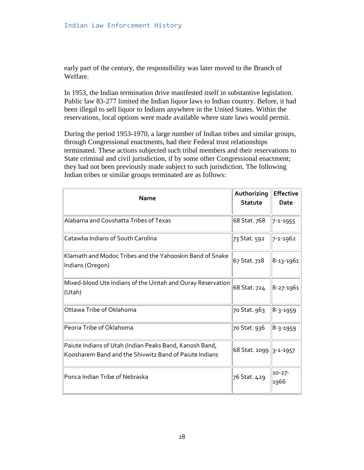early part of the century, the responsibility was later moved to the Branch of Welfare.

In 1953, the Indian termination drive manifested itself in substantive legislation. Public law 83-277 limited the Indian liquor laws to Indian country. Before, it had been illegal to sell liquor to Indians anywhere in the United States. Within the reservations, local options were made available where state laws would permit.

During the period 1953-1970, a large number of Indian tribes and similar groups, through Congressional enactments, had their Federal trust relationships terminated. These actions subjected such tribal members and their reservations to State criminal and civil jurisdiction, if by some other Congressional enactment; they had not been previously made subject to such jurisdiction. The following Indian tribes or similar groups terminated are as follows:

| <b>Name</b>                                                                                                       | Authorizing              | <b>Effective</b> |
|-------------------------------------------------------------------------------------------------------------------|--------------------------|------------------|
|                                                                                                                   | <b>Statute</b>           | Date             |
| Alabama and Coushatta Tribes of Texas                                                                             | 68 Stat. 768             | 7-1-1955         |
| Catawba Indians of South Carolina                                                                                 | 73 Stat. 592             | 7-1-1962         |
| Klamath and Modoc Tribes and the Yahooskin Band of Snake<br>Indians (Oregon)                                      | 67 Stat. 718             | 8-13-1961        |
| Mixed-blood Ute Indians of the Uintah and Ouray Reservation<br>(Utah)                                             | 68 Stat. 724             | 8-27-1961        |
| Ottawa Tribe of Oklahoma                                                                                          | 70 Stat. 963             | $ 8-3-1959$      |
| Peoria Tribe of Oklahoma                                                                                          | 70 Stat. 936             | $ 8-3-1959$      |
| Paiute Indians of Utah (Indian Peaks Band, Kanosh Band,<br>Koosharem Band and the Shivwitz Band of Paiute Indians | 68 Stat. 1099   3-1-1957 |                  |
| Ponca Indian Tribe of Nebraska                                                                                    | 76 Stat. 429             | 10-27-<br>1966   |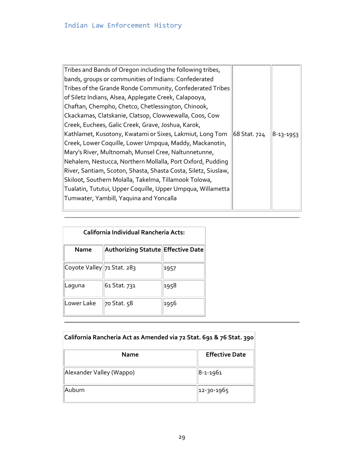| Tribes and Bands of Oregon including the following tribes,     |              |           |
|----------------------------------------------------------------|--------------|-----------|
| bands, groups or communities of Indians: Confederated          |              |           |
| Tribes of the Grande Ronde Community, Confederated Tribes      |              |           |
| of Siletz Indians, Alsea, Applegate Creek, Calapooya,          |              |           |
| Chaftan, Chempho, Chetco, Chetlessington, Chinook,             |              |           |
| Ckackamas, Clatskanie, Clatsop, Clowwewalla, Coos, Cow         |              |           |
| Creek, Euchees, Galic Creek, Grave, Joshua, Karok,             |              |           |
| Kathlamet, Kusotony, Kwatami or Sixes, Lakmiut, Long Tom       | 68 Stat. 724 | 8-13-1953 |
| Creek, Lower Coquille, Lower Umpqua, Maddy, Mackanotin,        |              |           |
| Mary's River, Multnomah, Munsel Cree, Naltunnetunne,           |              |           |
| Nehalem, Nestucca, Northern Mollalla, Port Oxford, Pudding     |              |           |
| River, Santiam, Scoton, Shasta, Shasta Costa, Siletz, Siuslaw, |              |           |
| Skiloot, Southern Molalla, Takelma, Tillamook Tolowa,          |              |           |
| Tualatin, Tututui, Upper Coquille, Upper Umpqua, Willametta    |              |           |
| Tumwater, Yambill, Yaquina and Yoncalla                        |              |           |
|                                                                |              |           |

| California Individual Rancheria Acts: |                                    |      |  |
|---------------------------------------|------------------------------------|------|--|
| Name                                  | Authorizing Statute Effective Date |      |  |
| Coyote Valley 71 Stat. 283            |                                    | 1957 |  |
| Laguna                                | 61 Stat. 731                       | 1958 |  |
| Lower Lake                            | 70 Stat. 58                        | 1956 |  |

| California Rancheria Act as Amended via 72 Stat. 691 & 76 Stat. 390 |                       |  |
|---------------------------------------------------------------------|-----------------------|--|
| Name                                                                | <b>Effective Date</b> |  |
| Alexander Valley (Wappo)                                            | 8-1-1961              |  |
| Auburn                                                              | 12-30-1965            |  |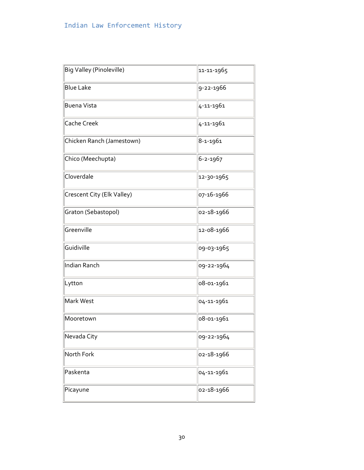| Big Valley (Pinoleville)   | 11-11-1965 |
|----------------------------|------------|
| <b>Blue Lake</b>           | 9-22-1966  |
| <b>Buena Vista</b>         | 4-11-1961  |
| <b>Cache Creek</b>         | 4-11-1961  |
| Chicken Ranch (Jamestown)  | 8-1-1961   |
| Chico (Meechupta)          | 6-2-1967   |
| Cloverdale                 | 12-30-1965 |
| Crescent City (Elk Valley) | 07-16-1966 |
| Graton (Sebastopol)        | 02-18-1966 |
| Greenville                 | 12-08-1966 |
| Guidiville                 | 09-03-1965 |
| Indian Ranch               | 09-22-1964 |
| Lytton                     | 08-01-1961 |
| Mark West                  | 04-11-1961 |
| Mooretown                  | 08-01-1961 |
| Nevada City                | 09-22-1964 |
| North Fork                 | 02-18-1966 |
| Paskenta                   | 04-11-1961 |
| Picayune                   | 02-18-1966 |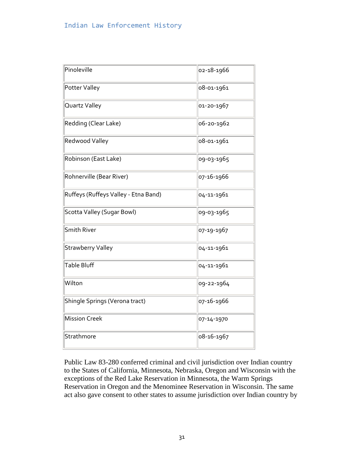| Pinoleville                          | 02-18-1966 |
|--------------------------------------|------------|
| Potter Valley                        | 08-01-1961 |
| Quartz Valley                        | 01-20-1967 |
| Redding (Clear Lake)                 | 06-20-1962 |
| Redwood Valley                       | 08-01-1961 |
| Robinson (East Lake)                 | 09-03-1965 |
| Rohnerville (Bear River)             | 07-16-1966 |
| Ruffeys (Ruffeys Valley - Etna Band) | 04-11-1961 |
| Scotta Valley (Sugar Bowl)           | 09-03-1965 |
| <b>Smith River</b>                   | 07-19-1967 |
| <b>Strawberry Valley</b>             | 04-11-1961 |
| Table Bluff                          | 04-11-1961 |
| Wilton                               | 09-22-1964 |
| Shingle Springs (Verona tract)       | 07-16-1966 |
| <b>Mission Creek</b>                 | 07-14-1970 |
| Strathmore                           | 08-16-1967 |

Public Law 83-280 conferred criminal and civil jurisdiction over Indian country to the States of California, Minnesota, Nebraska, Oregon and Wisconsin with the exceptions of the Red Lake Reservation in Minnesota, the Warm Springs Reservation in Oregon and the Menominee Reservation in Wisconsin. The same act also gave consent to other states to assume jurisdiction over Indian country by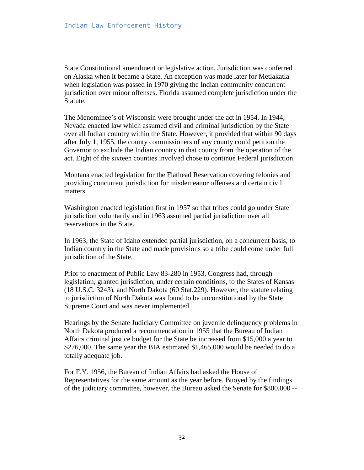State Constitutional amendment or legislative action. Jurisdiction was conferred on Alaska when it became a State. An exception was made later for Metlakatla when legislation was passed in 1970 giving the Indian community concurrent jurisdiction over minor offenses. Florida assumed complete jurisdiction under the Statute.

The Menominee's of Wisconsin were brought under the act in 1954. In 1944, Nevada enacted law which assumed civil and criminal jurisdiction by the State over all Indian country within the State. However, it provided that within 90 days after July 1, 1955, the county commissioners of any county could petition the Governor to exclude the Indian country in that county from the operation of the act. Eight of the sixteen counties involved chose to continue Federal jurisdiction.

Montana enacted legislation for the Flathead Reservation covering felonies and providing concurrent jurisdiction for misdemeanor offenses and certain civil matters.

Washington enacted legislation first in 1957 so that tribes could go under State jurisdiction voluntarily and in 1963 assumed partial jurisdiction over all reservations in the State.

In 1963, the State of Idaho extended partial jurisdiction, on a concurrent basis, to Indian country in the State and made provisions so a tribe could come under full jurisdiction of the State.

Prior to enactment of Public Law 83-280 in 1953, Congress had, through legislation, granted jurisdiction, under certain conditions, to the States of Kansas (18 U.S.C. 3243), and North Dakota (60 Stat.229). However, the statute relating to jurisdiction of North Dakota was found to be unconstitutional by the State Supreme Court and was never implemented.

Hearings by the Senate Judiciary Committee on juvenile delinquency problems in North Dakota produced a recommendation in 1955 that the Bureau of Indian Affairs criminal justice budget for the State be increased from \$15,000 a year to \$276,000. The same year the BIA estimated \$1,465,000 would be needed to do a totally adequate job.

For F.Y. 1956, the Bureau of Indian Affairs had asked the House of Representatives for the same amount as the year before. Buoyed by the findings of the judiciary committee, however, the Bureau asked the Senate for \$800,000 --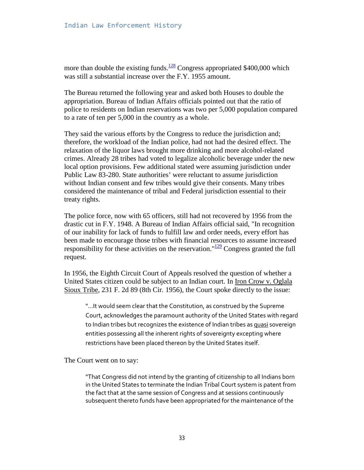more than double the existing funds.<sup>128</sup> Congress appropriated \$400,000 which was still a substantial increase over the F.Y. 1955 amount.

The Bureau returned the following year and asked both Houses to double the appropriation. Bureau of Indian Affairs officials pointed out that the ratio of police to residents on Indian reservations was two per 5,000 population compared to a rate of ten per 5,000 in the country as a whole.

They said the various efforts by the Congress to reduce the jurisdiction and; therefore, the workload of the Indian police, had not had the desired effect. The relaxation of the liquor laws brought more drinking and more alcohol-related crimes. Already 28 tribes had voted to legalize alcoholic beverage under the new local option provisions. Few additional stated were assuming jurisdiction under Public Law 83-280. State authorities' were reluctant to assume jurisdiction without Indian consent and few tribes would give their consents. Many tribes considered the maintenance of tribal and Federal jurisdiction essential to their treaty rights.

The police force, now with 65 officers, still had not recovered by 1956 from the drastic cut in F.Y. 1948. A Bureau of Indian Affairs official said, "In recognition of our inability for lack of funds to fulfill law and order needs, every effort has been made to encourage those tribes with financial resources to assume increased responsibility for these activities on the reservation." $\frac{129}{2}$  Congress granted the full request.

In 1956, the Eighth Circuit Court of Appeals resolved the question of whether a United States citizen could be subject to an Indian court. In Iron Crow v. Oglala Sioux Tribe, 231 F. 2d 89 (8th Cir. 1956), the Court spoke directly to the issue:

"...It would seem clear that the Constitution, as construed by the Supreme Court, acknowledges the paramount authority of the United States with regard to Indian tribes but recognizes the existence of Indian tribes as quasi sovereign entities possessing all the inherent rights of sovereignty excepting where restrictions have been placed thereon by the United States itself.

The Court went on to say:

"That Congress did not intend by the granting of citizenship to all Indians born in the United States to terminate the Indian Tribal Court system is patent from the fact that at the same session of Congress and at sessions continuously subsequent thereto funds have been appropriated for the maintenance of the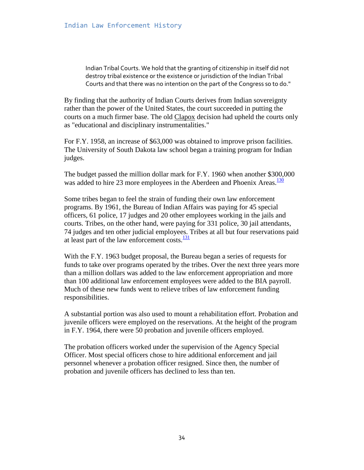Indian Tribal Courts. We hold that the granting of citizenship in itself did not destroy tribal existence or the existence or jurisdiction of the Indian Tribal Courts and that there was no intention on the part of the Congress so to do."

By finding that the authority of Indian Courts derives from Indian sovereignty rather than the power of the United States, the court succeeded in putting the courts on a much firmer base. The old Clapox decision had upheld the courts only as "educational and disciplinary instrumentalities."

For F.Y. 1958, an increase of \$63,000 was obtained to improve prison facilities. The University of South Dakota law school began a training program for Indian judges.

The budget passed the million dollar mark for F.Y. 1960 when another \$300,000 was added to hire 23 more employees in the Aberdeen and Phoenix Areas.<sup>130</sup>

Some tribes began to feel the strain of funding their own law enforcement programs. By 1961, the Bureau of Indian Affairs was paying for 45 special officers, 61 police, 17 judges and 20 other employees working in the jails and courts. Tribes, on the other hand, were paying for 331 police, 30 jail attendants, 74 judges and ten other judicial employees. Tribes at all but four reservations paid at least part of the law enforcement costs. $\frac{131}{131}$ 

With the F.Y. 1963 budget proposal, the Bureau began a series of requests for funds to take over programs operated by the tribes. Over the next three years more than a million dollars was added to the law enforcement appropriation and more than 100 additional law enforcement employees were added to the BIA payroll. Much of these new funds went to relieve tribes of law enforcement funding responsibilities.

A substantial portion was also used to mount a rehabilitation effort. Probation and juvenile officers were employed on the reservations. At the height of the program in F.Y. 1964, there were 50 probation and juvenile officers employed.

The probation officers worked under the supervision of the Agency Special Officer. Most special officers chose to hire additional enforcement and jail personnel whenever a probation officer resigned. Since then, the number of probation and juvenile officers has declined to less than ten.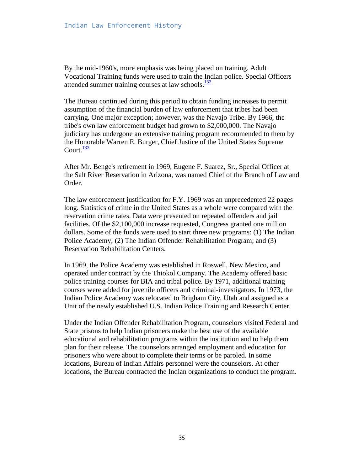By the mid-1960's, more emphasis was being placed on training. Adult Vocational Training funds were used to train the Indian police. Special Officers attended summer training courses at law schools. $\frac{132}{132}$ 

The Bureau continued during this period to obtain funding increases to permit assumption of the financial burden of law enforcement that tribes had been carrying. One major exception; however, was the Navajo Tribe. By 1966, the tribe's own law enforcement budget had grown to \$2,000,000. The Navajo judiciary has undergone an extensive training program recommended to them by the Honorable Warren E. Burger, Chief Justice of the United States Supreme Court. $\frac{133}{2}$ 

After Mr. Benge's retirement in 1969, Eugene F. Suarez, Sr., Special Officer at the Salt River Reservation in Arizona, was named Chief of the Branch of Law and Order.

The law enforcement justification for F.Y. 1969 was an unprecedented 22 pages long. Statistics of crime in the United States as a whole were compared with the reservation crime rates. Data were presented on repeated offenders and jail facilities. Of the \$2,100,000 increase requested, Congress granted one million dollars. Some of the funds were used to start three new programs: (1) The Indian Police Academy; (2) The Indian Offender Rehabilitation Program; and (3) Reservation Rehabilitation Centers.

In 1969, the Police Academy was established in Roswell, New Mexico, and operated under contract by the Thiokol Company. The Academy offered basic police training courses for BIA and tribal police. By 1971, additional training courses were added for juvenile officers and criminal-investigators. In 1973, the Indian Police Academy was relocated to Brigham City, Utah and assigned as a Unit of the newly established U.S. Indian Police Training and Research Center.

Under the Indian Offender Rehabilitation Program, counselors visited Federal and State prisons to help Indian prisoners make the best use of the available educational and rehabilitation programs within the institution and to help them plan for their release. The counselors arranged employment and education for prisoners who were about to complete their terms or be paroled. In some locations, Bureau of Indian Affairs personnel were the counselors. At other locations, the Bureau contracted the Indian organizations to conduct the program.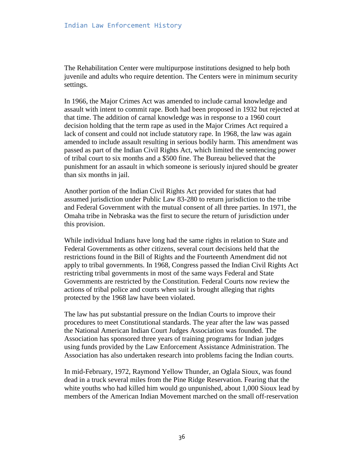The Rehabilitation Center were multipurpose institutions designed to help both juvenile and adults who require detention. The Centers were in minimum security settings.

In 1966, the Major Crimes Act was amended to include carnal knowledge and assault with intent to commit rape. Both had been proposed in 1932 but rejected at that time. The addition of carnal knowledge was in response to a 1960 court decision holding that the term rape as used in the Major Crimes Act required a lack of consent and could not include statutory rape. In 1968, the law was again amended to include assault resulting in serious bodily harm. This amendment was passed as part of the Indian Civil Rights Act, which limited the sentencing power of tribal court to six months and a \$500 fine. The Bureau believed that the punishment for an assault in which someone is seriously injured should be greater than six months in jail.

Another portion of the Indian Civil Rights Act provided for states that had assumed jurisdiction under Public Law 83-280 to return jurisdiction to the tribe and Federal Government with the mutual consent of all three parties. In 1971, the Omaha tribe in Nebraska was the first to secure the return of jurisdiction under this provision.

While individual Indians have long had the same rights in relation to State and Federal Governments as other citizens, several court decisions held that the restrictions found in the Bill of Rights and the Fourteenth Amendment did not apply to tribal governments. In 1968, Congress passed the Indian Civil Rights Act restricting tribal governments in most of the same ways Federal and State Governments are restricted by the Constitution. Federal Courts now review the actions of tribal police and courts when suit is brought alleging that rights protected by the 1968 law have been violated.

The law has put substantial pressure on the Indian Courts to improve their procedures to meet Constitutional standards. The year after the law was passed the National American Indian Court Judges Association was founded. The Association has sponsored three years of training programs for Indian judges using funds provided by the Law Enforcement Assistance Administration. The Association has also undertaken research into problems facing the Indian courts.

In mid-February, 1972, Raymond Yellow Thunder, an Oglala Sioux, was found dead in a truck several miles from the Pine Ridge Reservation. Fearing that the white youths who had killed him would go unpunished, about 1,000 Sioux lead by members of the American Indian Movement marched on the small off-reservation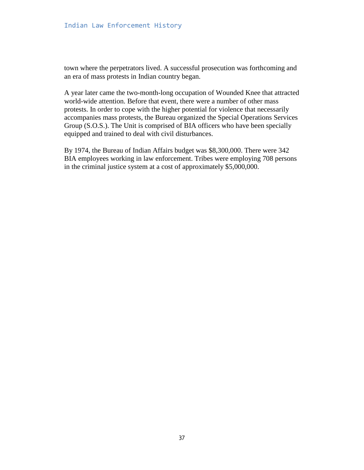town where the perpetrators lived. A successful prosecution was forthcoming and an era of mass protests in Indian country began.

A year later came the two-month-long occupation of Wounded Knee that attracted world-wide attention. Before that event, there were a number of other mass protests. In order to cope with the higher potential for violence that necessarily accompanies mass protests, the Bureau organized the Special Operations Services Group (S.O.S.). The Unit is comprised of BIA officers who have been specially equipped and trained to deal with civil disturbances.

By 1974, the Bureau of Indian Affairs budget was \$8,300,000. There were 342 BIA employees working in law enforcement. Tribes were employing 708 persons in the criminal justice system at a cost of approximately \$5,000,000.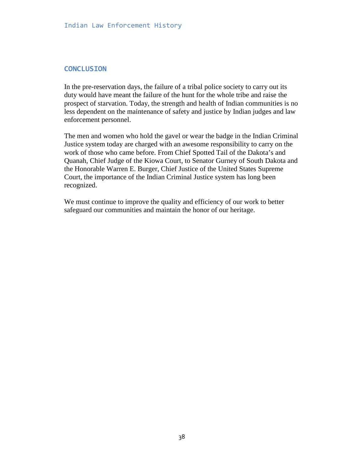#### **CONCLUSION**

In the pre-reservation days, the failure of a tribal police society to carry out its duty would have meant the failure of the hunt for the whole tribe and raise the prospect of starvation. Today, the strength and health of Indian communities is no less dependent on the maintenance of safety and justice by Indian judges and law enforcement personnel.

The men and women who hold the gavel or wear the badge in the Indian Criminal Justice system today are charged with an awesome responsibility to carry on the work of those who came before. From Chief Spotted Tail of the Dakota's and Quanah, Chief Judge of the Kiowa Court, to Senator Gurney of South Dakota and the Honorable Warren E. Burger, Chief Justice of the United States Supreme Court, the importance of the Indian Criminal Justice system has long been recognized.

We must continue to improve the quality and efficiency of our work to better safeguard our communities and maintain the honor of our heritage.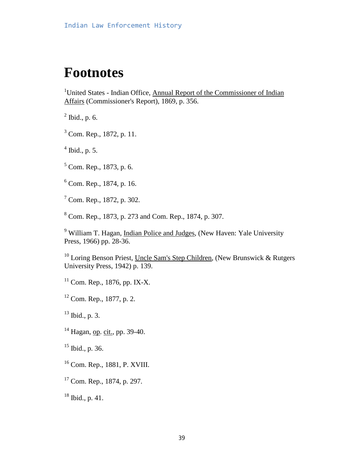### **Footnotes**

<sup>1</sup>United States - Indian Office, Annual Report of the Commissioner of Indian Affairs (Commissioner's Report), 1869, p. 356.

 $<sup>2</sup>$  Ibid., p. 6.</sup>

<sup>3</sup> Com. Rep., 1872, p. 11.

 $<sup>4</sup>$  Ibid., p. 5.</sup>

<sup>5</sup> Com. Rep., 1873, p. 6.

6 Com. Rep., 1874, p. 16.

7 Com. Rep., 1872, p. 302.

8 Com. Rep., 1873, p. 273 and Com. Rep., 1874, p. 307.

<sup>9</sup> William T. Hagan, Indian Police and Judges, (New Haven: Yale University Press, 1966) pp. 28-36.

<sup>10</sup> Loring Benson Priest, Uncle Sam's Step Children, (New Brunswick & Rutgers) University Press, 1942) p. 139.

 $11$  Com. Rep., 1876, pp. IX-X.

 $12$  Com. Rep., 1877, p. 2.

 $13$  Ibid., p. 3.

<sup>14</sup> Hagan, op. cit., pp. 39-40.

 $15$  Ibid., p. 36.

- 16 Com. Rep., 1881, P. XVIII.
- <sup>17</sup> Com. Rep., 1874, p. 297.

 $18$  Ibid., p. 41.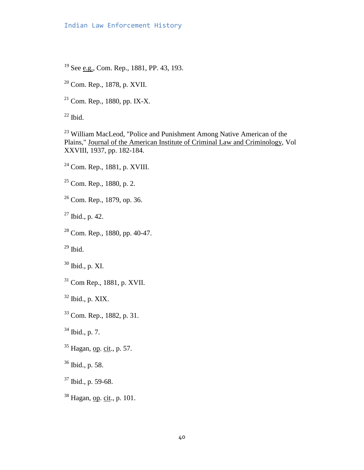#### Indian Law Enforcement History

<sup>19</sup> See e.g., Com. Rep., 1881, PP. 43, 193.

20 Com. Rep., 1878, p. XVII.

 $21$  Com. Rep., 1880, pp. IX-X.

 $22$  Ibid.

23 William MacLeod, "Police and Punishment Among Native American of the Plains," Journal of the American Institute of Criminal Law and Criminology, Vol XXVIII, 1937, pp. 182-184.

24 Com. Rep., 1881, p. XVIII.

 $25$  Com. Rep., 1880, p. 2.

26 Com. Rep., 1879, op. 36.

 $27$  Ibid., p. 42.

28 Com. Rep., 1880, pp. 40-47.

 $29$  Ibid.

30 Ibid., p. XI.

31 Com Rep., 1881, p. XVII.

 $32$  Ibid., p. XIX.

33 Com. Rep., 1882, p. 31.

 $34$  Ibid., p. 7.

<sup>35</sup> Hagan, <u>op</u>. cit., p. 57.

36 Ibid., p. 58.

 $37$  Ibid., p. 59-68.

<sup>38</sup> Hagan, op. cit., p. 101.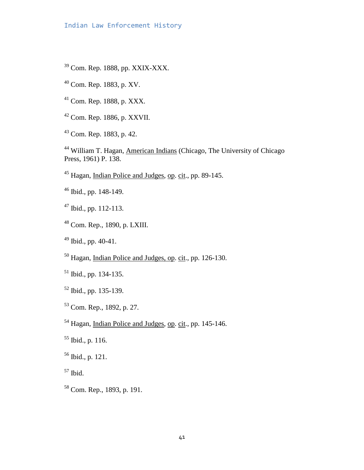- 39 Com. Rep. 1888, pp. XXIX-XXX.
- 40 Com. Rep. 1883, p. XV.
- 41 Com. Rep. 1888, p. XXX.
- 42 Com. Rep. 1886, p. XXVII.
- 43 Com. Rep. 1883, p. 42.

<sup>44</sup> William T. Hagan, American Indians (Chicago, The University of Chicago Press, 1961) P. 138.

- <sup>45</sup> Hagan, Indian Police and Judges, op. cit., pp. 89-145.
- 46 Ibid., pp. 148-149.
- $47$  Ibid., pp. 112-113.
- 48 Com. Rep., 1890, p. LXIII.
- $49$  Ibid., pp. 40-41.
- <sup>50</sup> Hagan, Indian Police and Judges, op. cit., pp. 126-130.
- 51 Ibid., pp. 134-135.
- 52 Ibid., pp. 135-139.
- 53 Com. Rep., 1892, p. 27.
- <sup>54</sup> Hagan, Indian Police and Judges, op. cit., pp. 145-146.
- $55$  Ibid., p. 116.
- 56 Ibid., p. 121.
- $57$  Ibid.
- 58 Com. Rep., 1893, p. 191.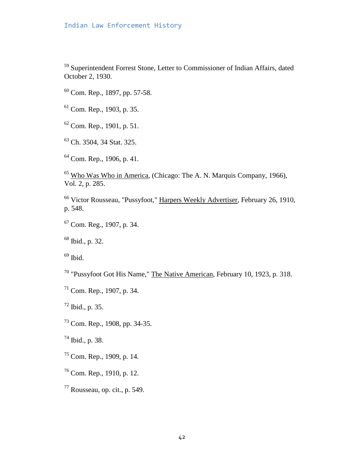#### Indian Law Enforcement History

59 Superintendent Forrest Stone, Letter to Commissioner of Indian Affairs, dated October 2, 1930.

- 60 Com. Rep., 1897, pp. 57-58.
- 61 Com. Rep., 1903, p. 35.
- $62$  Com. Rep., 1901, p. 51.
- 63 Ch. 3504, 34 Stat. 325.
- 64 Com. Rep., 1906, p. 41.

65 Who Was Who in America, (Chicago: The A. N. Marquis Company, 1966), Vol. 2, p. 285.

66 Victor Rousseau, "Pussyfoot," Harpers Weekly Advertiser, February 26, 1910, p. 548.

67 Com. Reg., 1907, p. 34.

68 Ibid., p. 32.

 $69$  Ibid.

- 70 "Pussyfoot Got His Name," The Native American, February 10, 1923, p. 318.
- 71 Com. Rep., 1907, p. 34.

 $72$  Ibid., p. 35.

73 Com. Rep., 1908, pp. 34-35.

74 Ibid., p. 38.

- 75 Com. Rep., 1909, p. 14.
- 76 Com. Rep., 1910, p. 12.
- $77$  Rousseau, op. cit., p. 549.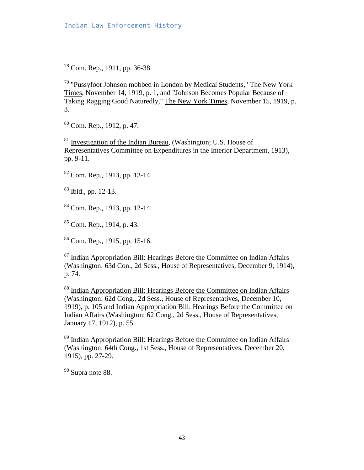78 Com. Rep., 1911, pp. 36-38.

79 "Pussyfoot Johnson mobbed in London by Medical Students," The New York Times, November 14, 1919, p. 1, and "Johnson Becomes Popular Because of Taking Ragging Good Naturedly," The New York Times, November 15, 1919, p. 3.

80 Com. Rep., 1912, p. 47.

81 Investigation of the Indian Bureau, (Washington; U.S. House of Representatives Committee on Expenditures in the Interior Department, 1913), pp. 9-11.

82 Com. Rep., 1913, pp. 13-14.

83 Ibid., pp. 12-13.

84 Com. Rep., 1913, pp. 12-14.

85 Com. Rep., 1914, p. 43.

86 Com. Rep., 1915, pp. 15-16.

<sup>87</sup> Indian Appropriation Bill: Hearings Before the Committee on Indian Affairs (Washington: 63d Con., 2d Sess., House of Representatives, December 9, 1914), p. 74.

<sup>88</sup> Indian Appropriation Bill: Hearings Before the Committee on Indian Affairs (Washington: 62d Cong., 2d Sess., House of Representatives, December 10, 1919), p. 105 and Indian Appropriation Bill: Hearings Before the Committee on Indian Affairs (Washington: 62 Cong., 2d Sess., House of Representatives, January 17, 1912), p. 55.

<sup>89</sup> Indian Appropriation Bill: Hearings Before the Committee on Indian Affairs (Washington: 64th Cong., 1st Sess., House of Representatives, December 20, 1915), pp. 27-29.

<sup>90</sup> Supra note 88.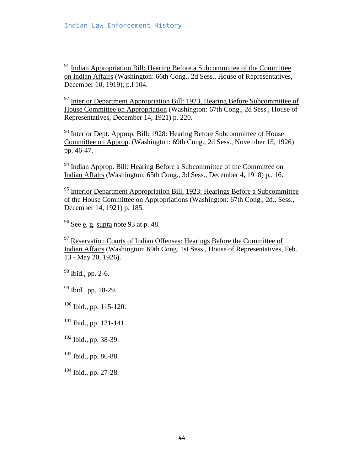$91$  Indian Appropriation Bill: Hearing Before a Subcommittee of the Committee on Indian Affairs (Washington: 66th Cong., 2d Sess., House of Representatives, December 10, 1919), p.l 104.

 $92$  Interior Department Appropriation Bill: 1923, Hearing Before Subcommittee of House Committee on Appropriation (Washington: 67th Cong., 2d Sess., House of Representatives, December 14, 1921) p. 220.

<sup>93</sup> Interior Dept. Approp. Bill: 1928: Hearing Before Subcommittee of House Committee on Approp. (Washington: 69th Cong., 2d Sess., November 15, 1926) pp. 46-47.

<sup>94</sup> Indian Approp. Bill: Hearing Before a Subcommittee of the Committee on Indian Affairs (Washington: 65th Cong., 3d Sess., December 4, 1918) p,. 16.

<sup>95</sup> Interior Department Appropriation Bill, 1923: Hearings Before a Subcommittee of the House Committee on Appropriations (Washington: 67th Cong., 2d., Sess., December 14, 1921) p. 185.

 $96$  See e. g. supra note 93 at p. 48.

 $97$  Reservation Courts of Indian Offenses: Hearings Before the Committee of Indian Affairs (Washington: 69th Cong. 1st Sess., House of Representatives, Feb. 13 - May 20, 1926).

98 Ibid., pp. 2-6.

99 Ibid., pp. 18-29.

 $100$  Ibid., pp. 115-120.

 $101$  Ibid., pp. 121-141.

 $102$  Ibid., pp. 38-39.

 $103$  Ibid., pp. 86-88.

 $104$  Ibid., pp. 27-28.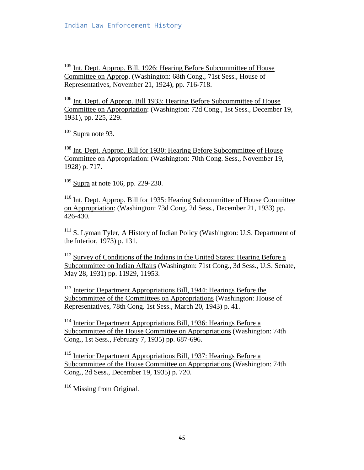<sup>105</sup> Int. Dept. Approp. Bill, 1926: Hearing Before Subcommittee of House Committee on Approp. (Washington: 68th Cong., 71st Sess., House of Representatives, November 21, 1924), pp. 716-718.

106 Int. Dept. of Approp. Bill 1933: Hearing Before Subcommittee of House Committee on Appropriation: (Washington: 72d Cong., 1st Sess., December 19, 1931), pp. 225, 229.

 $107$  Supra note 93.

108 Int. Dept. Approp. Bill for 1930: Hearing Before Subcommittee of House Committee on Appropriation: (Washington: 70th Cong. Sess., November 19, 1928) p. 717.

 $109$  Supra at note 106, pp. 229-230.

110 Int. Dept. Approp. Bill for 1935: Hearing Subcommittee of House Committee on Appropriation: (Washington: 73d Cong. 2d Sess., December 21, 1933) pp. 426-430.

<sup>111</sup> S. Lyman Tyler, A History of Indian Policy (Washington: U.S. Department of the Interior, 1973) p. 131.

<sup>112</sup> Survey of Conditions of the Indians in the United States: Hearing Before a Subcommittee on Indian Affairs (Washington: 71st Cong., 3d Sess., U.S. Senate, May 28, 1931) pp. 11929, 11953.

113 Interior Department Appropriations Bill, 1944: Hearings Before the Subcommittee of the Committees on Appropriations (Washington: House of Representatives, 78th Cong. 1st Sess., March 20, 1943) p. 41.

<sup>114</sup> Interior Department Appropriations Bill, 1936: Hearings Before a Subcommittee of the House Committee on Appropriations (Washington: 74th Cong., 1st Sess., February 7, 1935) pp. 687-696.

115 Interior Department Appropriations Bill, 1937: Hearings Before a Subcommittee of the House Committee on Appropriations (Washington: 74th Cong., 2d Sess., December 19, 1935) p. 720.

 $116$  Missing from Original.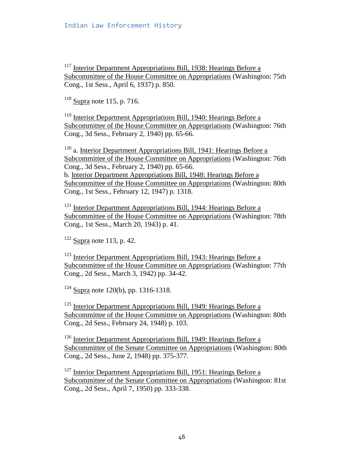$117$  Interior Department Appropriations Bill, 1938: Hearings Before a Subcommittee of the House Committee on Appropriations (Washington: 75th Cong., 1st Sess., April 6, 1937) p. 850.

 $118$  Supra note 115, p. 716.

<sup>119</sup> Interior Department Appropriations Bill, 1940: Hearings Before a Subcommittee of the House Committee on Appropriations (Washington: 76th Cong., 3d Sess., February 2, 1940) pp. 65-66.

 $120$  a. Interior Department Appropriations Bill, 1941: Hearings Before a Subcommittee of the House Committee on Appropriations (Washington: 76th Cong., 3d Sess., February 2, 1940) pp. 65-66. b. Interior Department Appropriations Bill, 1948: Hearings Before a Subcommittee of the House Committee on Appropriations (Washington: 80th Cong., 1st Sess., February 12, 1947) p. 1318.

<sup>121</sup> Interior Department Appropriations Bill, 1944: Hearings Before a Subcommittee of the House Committee on Appropriations (Washington: 78th Cong., 1st Sess., March 20, 1943) p. 41.

 $122$  Supra note 113, p. 42.

123 Interior Department Appropriations Bill, 1943: Hearings Before a Subcommittee of the House Committee on Appropriations (Washington: 77th Cong., 2d Sess., March 3, 1942) pp. 34-42.

 $124$  Supra note 120(b), pp. 1316-1318.

 $125$  Interior Department Appropriations Bill, 1949: Hearings Before a Subcommittee of the House Committee on Appropriations (Washington: 80th Cong., 2d Sess., February 24, 1948) p. 103.

 $126$  Interior Department Appropriations Bill, 1949: Hearings Before a Subcommittee of the Senate Committee on Appropriations (Washington: 80th Cong., 2d Sess., June 2, 1948) pp. 375-377.

 $127$  Interior Department Appropriations Bill, 1951: Hearings Before a Subcommittee of the Senate Committee on Appropriations (Washington: 81st Cong., 2d Sess., April 7, 1950) pp. 333-338.